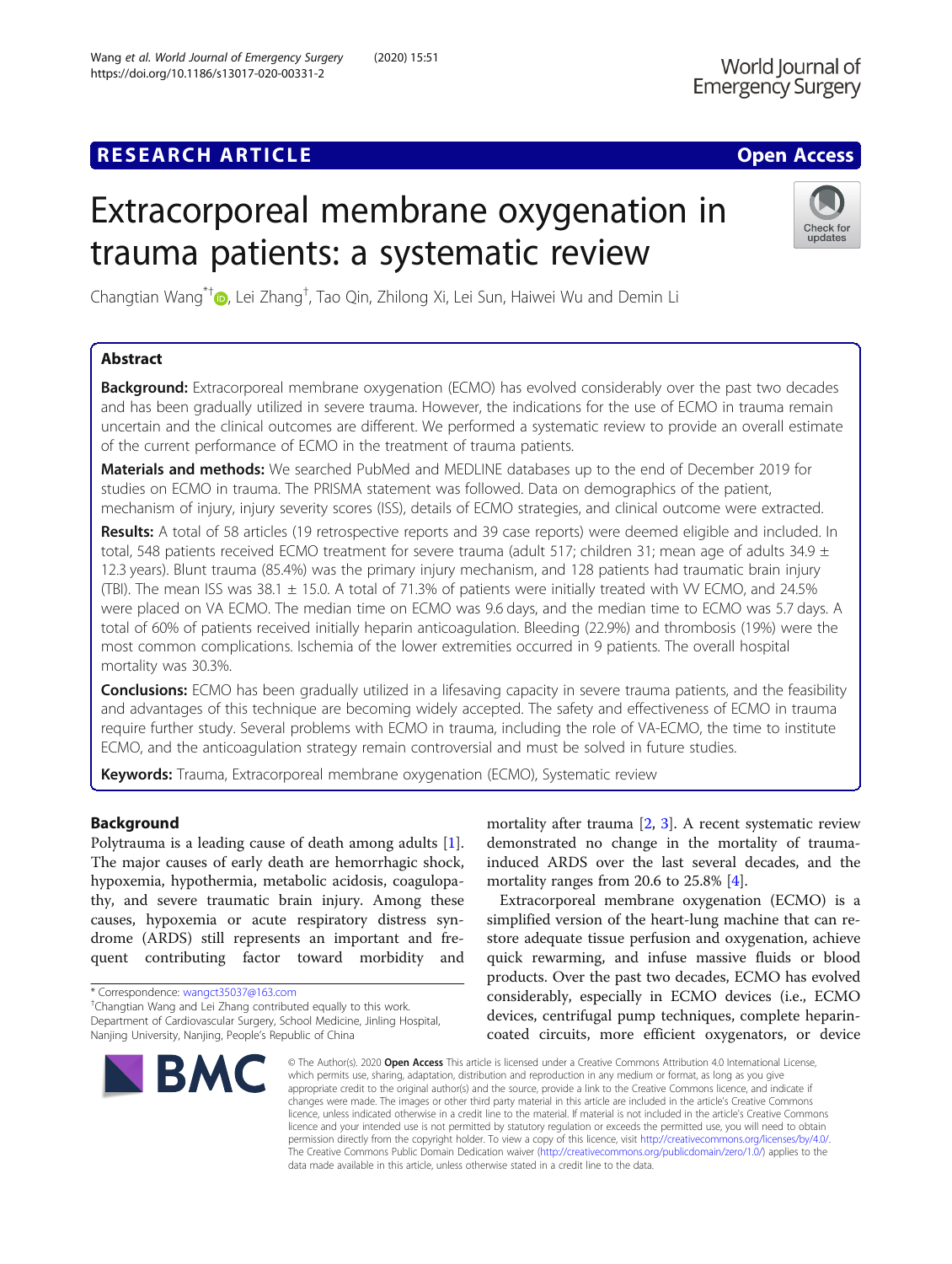# Extracorporeal membrane oxygenation in trauma patients: a systematic review



Changtian Wang<sup>\*†</sup>®[,](http://orcid.org/0000-0001-8127-1598) Lei Zhang<sup>†</sup>, Tao Qin, Zhilong Xi, Lei Sun, Haiwei Wu and Demin Li

# Abstract

**Background:** Extracorporeal membrane oxygenation (ECMO) has evolved considerably over the past two decades and has been gradually utilized in severe trauma. However, the indications for the use of ECMO in trauma remain uncertain and the clinical outcomes are different. We performed a systematic review to provide an overall estimate of the current performance of ECMO in the treatment of trauma patients.

Materials and methods: We searched PubMed and MEDLINE databases up to the end of December 2019 for studies on ECMO in trauma. The PRISMA statement was followed. Data on demographics of the patient, mechanism of injury, injury severity scores (ISS), details of ECMO strategies, and clinical outcome were extracted.

Results: A total of 58 articles (19 retrospective reports and 39 case reports) were deemed eligible and included. In total, 548 patients received ECMO treatment for severe trauma (adult 517; children 31; mean age of adults 34.9  $\pm$ 12.3 years). Blunt trauma (85.4%) was the primary injury mechanism, and 128 patients had traumatic brain injury (TBI). The mean ISS was 38.1  $\pm$  15.0. A total of 71.3% of patients were initially treated with W ECMO, and 24.5% were placed on VA ECMO. The median time on ECMO was 9.6 days, and the median time to ECMO was 5.7 days. A total of 60% of patients received initially heparin anticoagulation. Bleeding (22.9%) and thrombosis (19%) were the most common complications. Ischemia of the lower extremities occurred in 9 patients. The overall hospital mortality was 30.3%.

**Conclusions:** ECMO has been gradually utilized in a lifesaving capacity in severe trauma patients, and the feasibility and advantages of this technique are becoming widely accepted. The safety and effectiveness of ECMO in trauma require further study. Several problems with ECMO in trauma, including the role of VA-ECMO, the time to institute ECMO, and the anticoagulation strategy remain controversial and must be solved in future studies.

Keywords: Trauma, Extracorporeal membrane oxygenation (ECMO), Systematic review

# Background

Polytrauma is a leading cause of death among adults [\[1](#page-11-0)]. The major causes of early death are hemorrhagic shock, hypoxemia, hypothermia, metabolic acidosis, coagulopathy, and severe traumatic brain injury. Among these causes, hypoxemia or acute respiratory distress syndrome (ARDS) still represents an important and frequent contributing factor toward morbidity and

Changtian Wang and Lei Zhang contributed equally to this work. Department of Cardiovascular Surgery, School Medicine, Jinling Hospital, Nanjing University, Nanjing, People's Republic of China



mortality after trauma  $[2, 3]$  $[2, 3]$  $[2, 3]$  $[2, 3]$ . A recent systematic review demonstrated no change in the mortality of traumainduced ARDS over the last several decades, and the mortality ranges from 20.6 to 25.8% [[4\]](#page-11-0).

Extracorporeal membrane oxygenation (ECMO) is a simplified version of the heart-lung machine that can restore adequate tissue perfusion and oxygenation, achieve quick rewarming, and infuse massive fluids or blood products. Over the past two decades, ECMO has evolved considerably, especially in ECMO devices (i.e., ECMO devices, centrifugal pump techniques, complete heparincoated circuits, more efficient oxygenators, or device

© The Author(s), 2020 **Open Access** This article is licensed under a Creative Commons Attribution 4.0 International License, which permits use, sharing, adaptation, distribution and reproduction in any medium or format, as long as you give appropriate credit to the original author(s) and the source, provide a link to the Creative Commons licence, and indicate if changes were made. The images or other third party material in this article are included in the article's Creative Commons licence, unless indicated otherwise in a credit line to the material. If material is not included in the article's Creative Commons licence and your intended use is not permitted by statutory regulation or exceeds the permitted use, you will need to obtain permission directly from the copyright holder. To view a copy of this licence, visit [http://creativecommons.org/licenses/by/4.0/.](http://creativecommons.org/licenses/by/4.0/) The Creative Commons Public Domain Dedication waiver [\(http://creativecommons.org/publicdomain/zero/1.0/](http://creativecommons.org/publicdomain/zero/1.0/)) applies to the data made available in this article, unless otherwise stated in a credit line to the data.

<sup>\*</sup> Correspondence: [wangct35037@163.com](mailto:wangct35037@163.com) †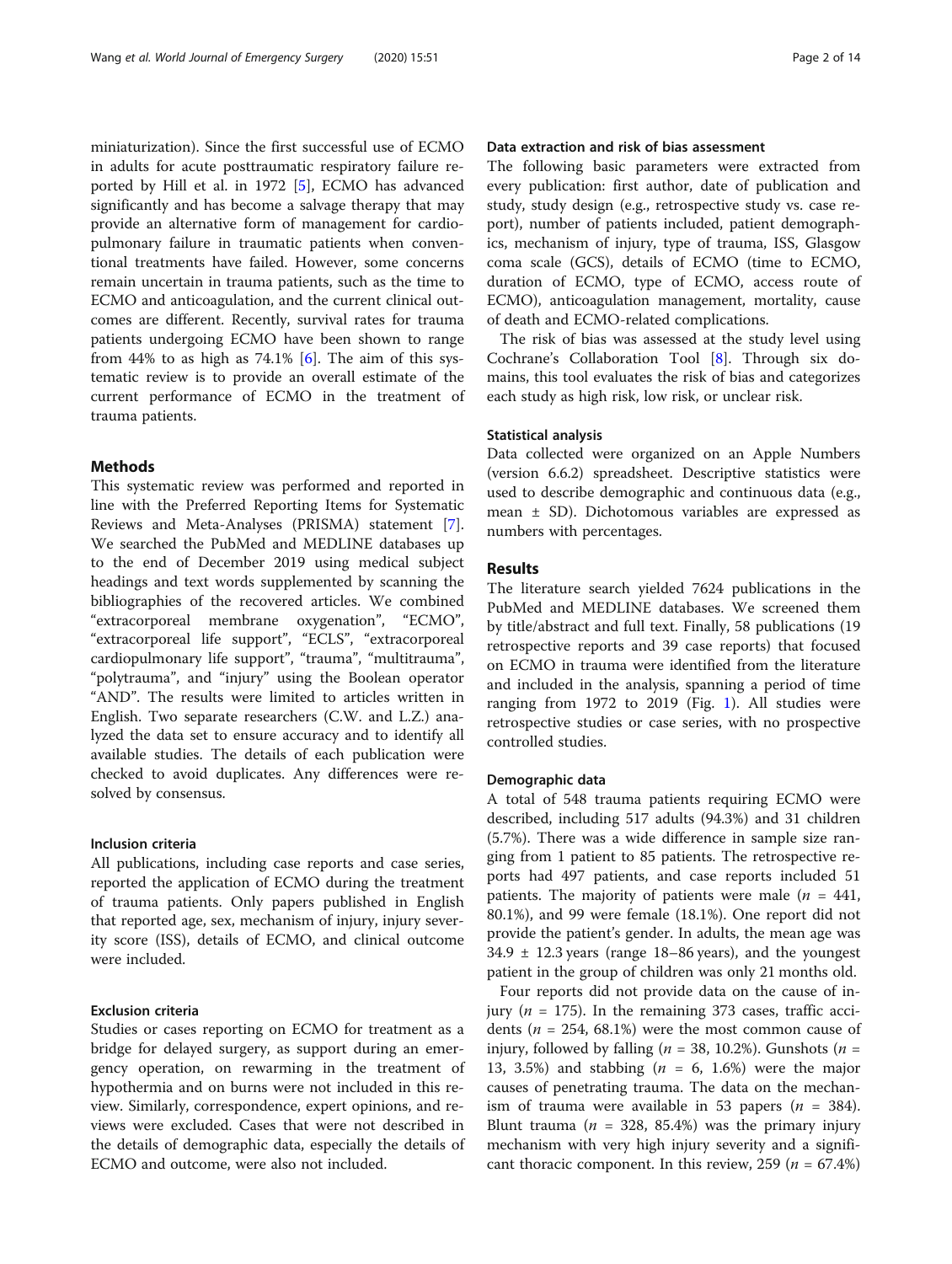miniaturization). Since the first successful use of ECMO in adults for acute posttraumatic respiratory failure reported by Hill et al. in 1972 [[5\]](#page-11-0), ECMO has advanced significantly and has become a salvage therapy that may provide an alternative form of management for cardiopulmonary failure in traumatic patients when conventional treatments have failed. However, some concerns remain uncertain in trauma patients, such as the time to ECMO and anticoagulation, and the current clinical outcomes are different. Recently, survival rates for trauma patients undergoing ECMO have been shown to range from 44% to as high as  $74.1\%$  [[6\]](#page-11-0). The aim of this systematic review is to provide an overall estimate of the current performance of ECMO in the treatment of trauma patients.

### Methods

This systematic review was performed and reported in line with the Preferred Reporting Items for Systematic Reviews and Meta-Analyses (PRISMA) statement [\[7](#page-11-0)]. We searched the PubMed and MEDLINE databases up to the end of December 2019 using medical subject headings and text words supplemented by scanning the bibliographies of the recovered articles. We combined "extracorporeal membrane oxygenation", "ECMO", "extracorporeal life support", "ECLS", "extracorporeal cardiopulmonary life support", "trauma", "multitrauma", "polytrauma", and "injury" using the Boolean operator "AND". The results were limited to articles written in English. Two separate researchers (C.W. and L.Z.) analyzed the data set to ensure accuracy and to identify all available studies. The details of each publication were checked to avoid duplicates. Any differences were resolved by consensus.

#### Inclusion criteria

All publications, including case reports and case series, reported the application of ECMO during the treatment of trauma patients. Only papers published in English that reported age, sex, mechanism of injury, injury severity score (ISS), details of ECMO, and clinical outcome were included.

# Exclusion criteria

Studies or cases reporting on ECMO for treatment as a bridge for delayed surgery, as support during an emergency operation, on rewarming in the treatment of hypothermia and on burns were not included in this review. Similarly, correspondence, expert opinions, and reviews were excluded. Cases that were not described in the details of demographic data, especially the details of ECMO and outcome, were also not included.

# Data extraction and risk of bias assessment

The following basic parameters were extracted from every publication: first author, date of publication and study, study design (e.g., retrospective study vs. case report), number of patients included, patient demographics, mechanism of injury, type of trauma, ISS, Glasgow coma scale (GCS), details of ECMO (time to ECMO, duration of ECMO, type of ECMO, access route of ECMO), anticoagulation management, mortality, cause of death and ECMO-related complications.

The risk of bias was assessed at the study level using Cochrane's Collaboration Tool [[8\]](#page-11-0). Through six domains, this tool evaluates the risk of bias and categorizes each study as high risk, low risk, or unclear risk.

# Statistical analysis

Data collected were organized on an Apple Numbers (version 6.6.2) spreadsheet. Descriptive statistics were used to describe demographic and continuous data (e.g., mean ± SD). Dichotomous variables are expressed as numbers with percentages.

# Results

The literature search yielded 7624 publications in the PubMed and MEDLINE databases. We screened them by title/abstract and full text. Finally, 58 publications (19 retrospective reports and 39 case reports) that focused on ECMO in trauma were identified from the literature and included in the analysis, spanning a period of time ranging from 1972 to 2019 (Fig. [1\)](#page-2-0). All studies were retrospective studies or case series, with no prospective controlled studies.

#### Demographic data

A total of 548 trauma patients requiring ECMO were described, including 517 adults (94.3%) and 31 children (5.7%). There was a wide difference in sample size ranging from 1 patient to 85 patients. The retrospective reports had 497 patients, and case reports included 51 patients. The majority of patients were male ( $n = 441$ , 80.1%), and 99 were female (18.1%). One report did not provide the patient's gender. In adults, the mean age was  $34.9 \pm 12.3$  years (range 18–86 years), and the youngest patient in the group of children was only 21 months old.

Four reports did not provide data on the cause of injury ( $n = 175$ ). In the remaining 373 cases, traffic accidents ( $n = 254$ , 68.1%) were the most common cause of injury, followed by falling ( $n = 38$ , 10.2%). Gunshots ( $n =$ 13, 3.5%) and stabbing ( $n = 6$ , 1.6%) were the major causes of penetrating trauma. The data on the mechanism of trauma were available in 53 papers ( $n = 384$ ). Blunt trauma ( $n = 328, 85.4\%$ ) was the primary injury mechanism with very high injury severity and a significant thoracic component. In this review, 259 ( $n = 67.4\%$ )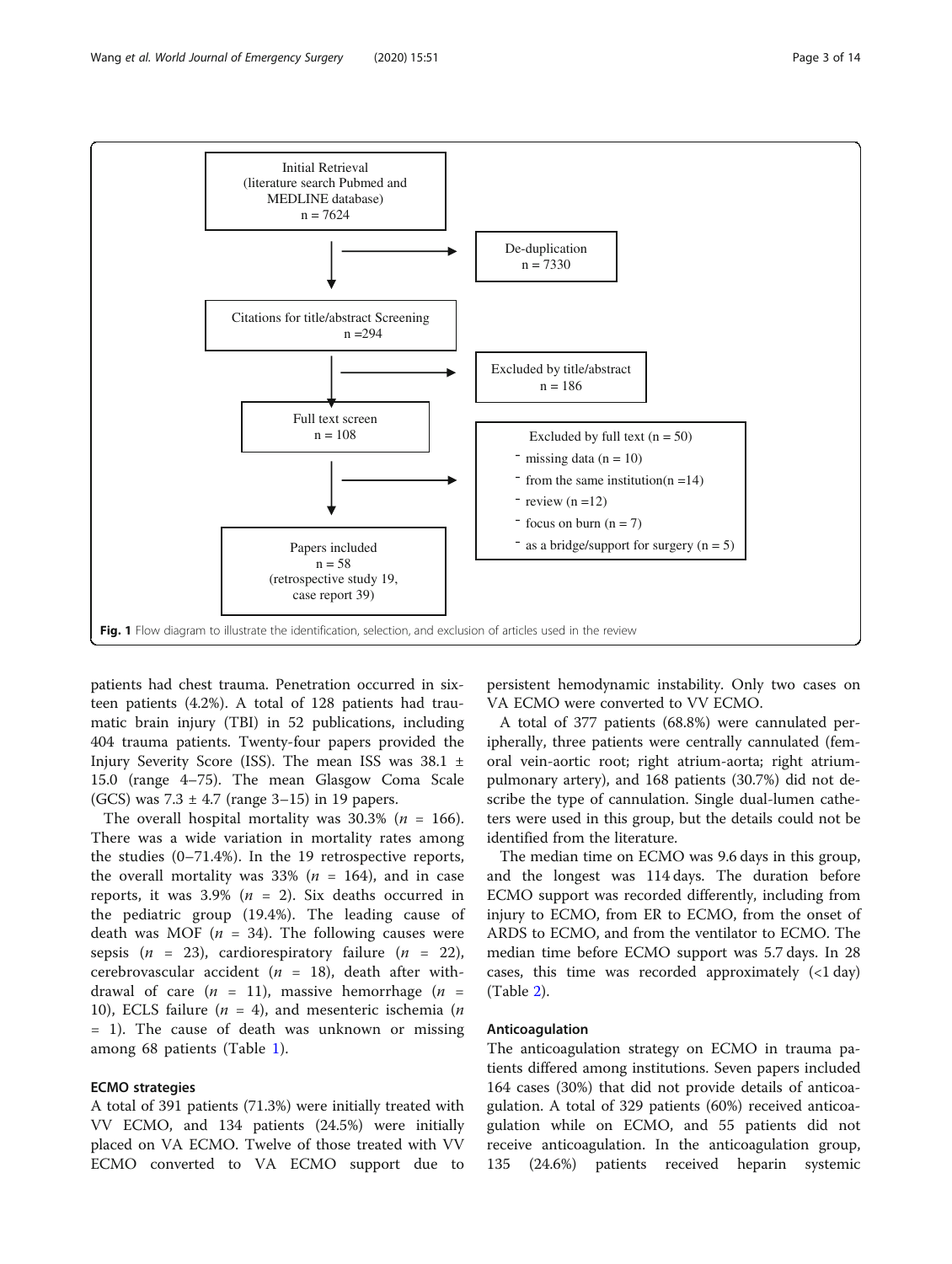<span id="page-2-0"></span>

patients had chest trauma. Penetration occurred in sixteen patients (4.2%). A total of 128 patients had traumatic brain injury (TBI) in 52 publications, including 404 trauma patients. Twenty-four papers provided the Injury Severity Score (ISS). The mean ISS was 38.1 ± 15.0 (range 4–75). The mean Glasgow Coma Scale (GCS) was  $7.3 \pm 4.7$  (range  $3-15$ ) in 19 papers.

The overall hospital mortality was  $30.3\%$  ( $n = 166$ ). There was a wide variation in mortality rates among the studies (0–71.4%). In the 19 retrospective reports, the overall mortality was 33% ( $n = 164$ ), and in case reports, it was 3.9% ( $n = 2$ ). Six deaths occurred in the pediatric group (19.4%). The leading cause of death was MOF ( $n = 34$ ). The following causes were sepsis  $(n = 23)$ , cardiorespiratory failure  $(n = 22)$ , cerebrovascular accident ( $n = 18$ ), death after withdrawal of care  $(n = 11)$ , massive hemorrhage  $(n = 11)$ 10), ECLS failure ( $n = 4$ ), and mesenteric ischemia ( $n = 10$ ) = 1). The cause of death was unknown or missing among 68 patients (Table [1](#page-3-0)).

# ECMO strategies

A total of 391 patients (71.3%) were initially treated with VV ECMO, and 134 patients (24.5%) were initially placed on VA ECMO. Twelve of those treated with VV ECMO converted to VA ECMO support due to persistent hemodynamic instability. Only two cases on VA ECMO were converted to VV ECMO.

A total of 377 patients (68.8%) were cannulated peripherally, three patients were centrally cannulated (femoral vein-aortic root; right atrium-aorta; right atriumpulmonary artery), and 168 patients (30.7%) did not describe the type of cannulation. Single dual-lumen catheters were used in this group, but the details could not be identified from the literature.

The median time on ECMO was 9.6 days in this group, and the longest was 114 days. The duration before ECMO support was recorded differently, including from injury to ECMO, from ER to ECMO, from the onset of ARDS to ECMO, and from the ventilator to ECMO. The median time before ECMO support was 5.7 days. In 28 cases, this time was recorded approximately  $\left($  < 1 day) (Table [2\)](#page-8-0).

# Anticoagulation

The anticoagulation strategy on ECMO in trauma patients differed among institutions. Seven papers included 164 cases (30%) that did not provide details of anticoagulation. A total of 329 patients (60%) received anticoagulation while on ECMO, and 55 patients did not receive anticoagulation. In the anticoagulation group, 135 (24.6%) patients received heparin systemic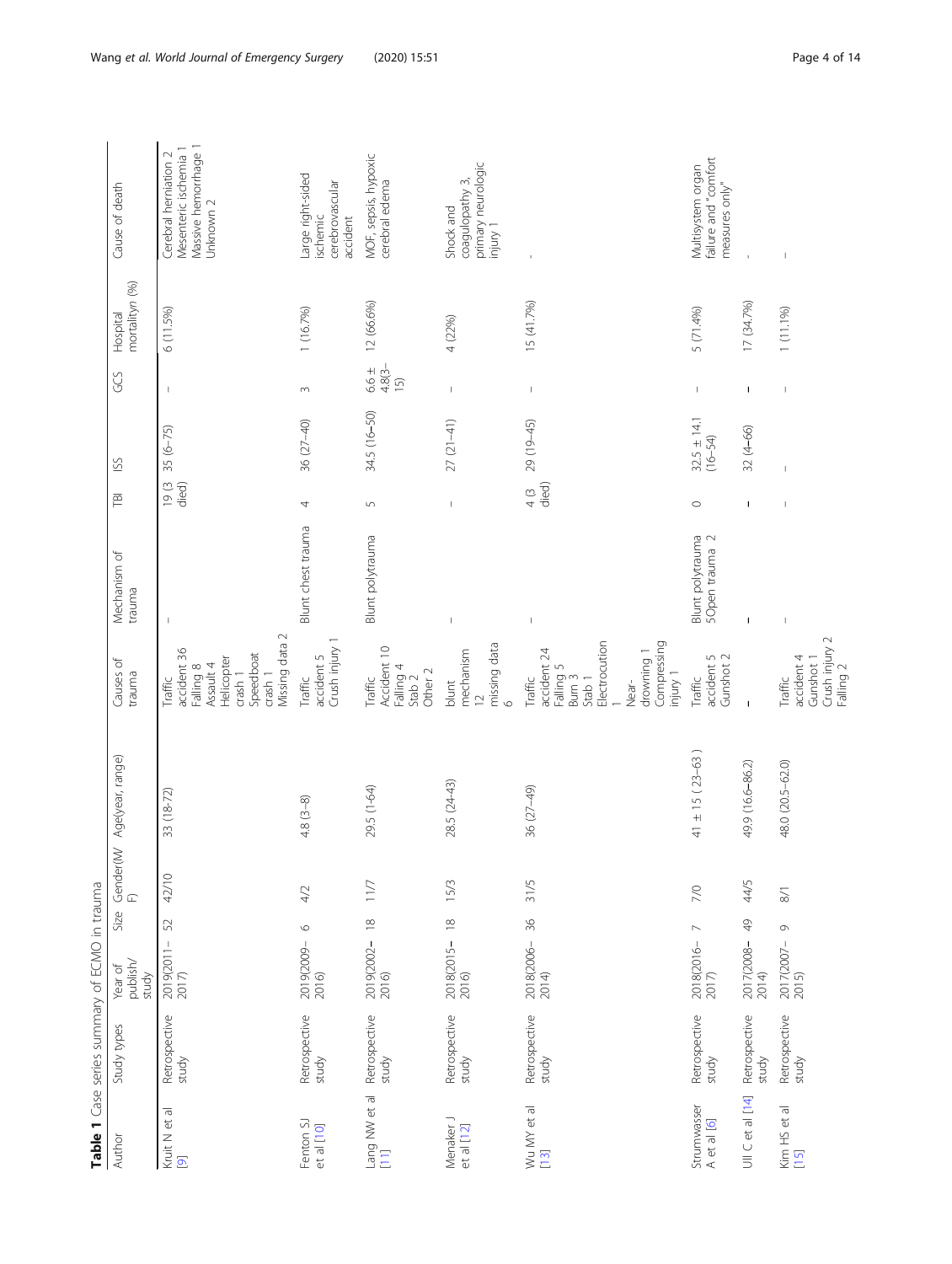<span id="page-3-0"></span>

|                                          |                        | Table 1 Case series summary of ECMO in trauma |      |                 |                       |                                                                                                                                       |                                    |                 |                                |                               |                            |                                                                                     |
|------------------------------------------|------------------------|-----------------------------------------------|------|-----------------|-----------------------|---------------------------------------------------------------------------------------------------------------------------------------|------------------------------------|-----------------|--------------------------------|-------------------------------|----------------------------|-------------------------------------------------------------------------------------|
| Author                                   | Study types            | publish/<br>Year of<br>study                  | Size | Gender(M/<br>F) | Age(year, range)      | Causes of<br>trauma                                                                                                                   | Mechanism of<br>trauma             | 戸               | SS                             | GS                            | mortalityn (%)<br>Hospital | Cause of death                                                                      |
| Kruit N et al<br>$\overline{\mathbf{Q}}$ | Retrospective<br>study | 52<br>2019(2011–<br>2017)                     |      | 42/10           | $33(18-72)$           | Missing data 2<br>accident 36<br>Speedboat<br>Helicopter<br>Assault 4<br>Falling 8<br>crash 1<br>crash 1<br>Traffic                   |                                    | $19(3$<br>died) | $35(6 - 75)$                   | T                             | 6(11.5%)                   | Massive hemorrhage 1<br>Mesenteric ischemia 1<br>Cerebral herniation 2<br>Unknown 2 |
| Fenton SJ<br>et al [10]                  | Retrospective<br>study | $\circ$<br>2019(2009–<br>2016)                |      | $4/2$           | $4.8(3-8)$            | Crush injury 1<br>accident 5<br>Traffic                                                                                               | Blunt chest trauma                 | 4               | $36(27-40)$                    | $\sim$                        | 1(16.7%)                   | Large right-sided<br>cerebrovascular<br>ischemic<br>accident                        |
| Lang NW et al<br>$\boxed{11}$            | Retrospective<br>study | $\approx$<br>2019(2002-<br>2016)              |      | 11/7            | 29.5 (1-64)           | Accident 10<br>Falling 4<br>Other 2<br>Stab <sub>2</sub><br>Traffic                                                                   | Blunt polytrauma                   | $\overline{5}$  | 34.5 (16-50)                   | $4.8(3 -$<br>$6.6 \pm$<br>(5) | 12 (66.6%)                 | MOF, sepsis, hypoxic<br>cerebral edema                                              |
| Menaker J<br>et al [12]                  | Retrospective<br>study | $\approx$<br>2018(2015–<br>2016)              |      | 15/3            | 28.5 (24-43)          | missing data<br>mechanism<br>blunt<br>$\overline{C}$<br>$\circ$                                                                       | $\overline{\phantom{a}}$           | $\mathbb{I}$    | $27(21-41)$                    | $\,$ $\,$                     | 4 (22%)                    | primary neurologic<br>coagulopathy 3,<br>Shock and<br>injury 1                      |
| Wu MY et al<br>[13]                      | Retrospective<br>study | $36$<br>2018(2006-<br>2014)                   |      | 31/5            | 36 (27-49)            | Electrocution<br>Compressing<br>accident 24<br>drowning 1<br>Falling 5<br>Burn 3<br>injury 1<br>Traffic<br>Stab <sub>1</sub><br>Near- | $\mathsf I$                        | died)<br>4(3)   | 29 (19-45)                     | $\mathsf I$                   | 15 (41.7%)                 | $\bar{1}$                                                                           |
| Strumwasser<br>A et al [6]               | Retrospective<br>study | $\overline{ }$<br>2018(2016-<br>2017)         |      | 7/0             | $41 \pm 15 (23 - 63)$ | accident 5<br>Gunshot 2<br>Traffic                                                                                                    | Blunt polytrauma<br>5Open trauma 2 | $\circ$         | $32.5 \pm 14.1$<br>$(16 - 54)$ | $\mathbb{I}$                  | 5 (71.4%)                  | failure and "comfort<br>Multisystem organ<br>measures only"                         |
| UIIC et al [14]                          | Retrospective<br>study | $\frac{1}{2}$<br>2017(2008-<br>2014)          |      | 44/5            | 49.9 (16.6-86.2)      | $\mathbf{I}$                                                                                                                          | $\mathbf{I}$                       | J.              | $32(4 - 66)$                   | ı                             | 17 (34.7%)                 |                                                                                     |
| Kim HS et al<br>[15]                     | Retrospective<br>study | $\circ$<br>2017(2007–<br>2015)                |      | $\approx$       | 48.0 (20.5-62.0)      | Crush injury 2<br>accident 4<br>Gunshot 1<br>Falling 2<br>Traffic                                                                     |                                    |                 |                                | $\overline{\phantom{a}}$      | 1 (11.1%)                  |                                                                                     |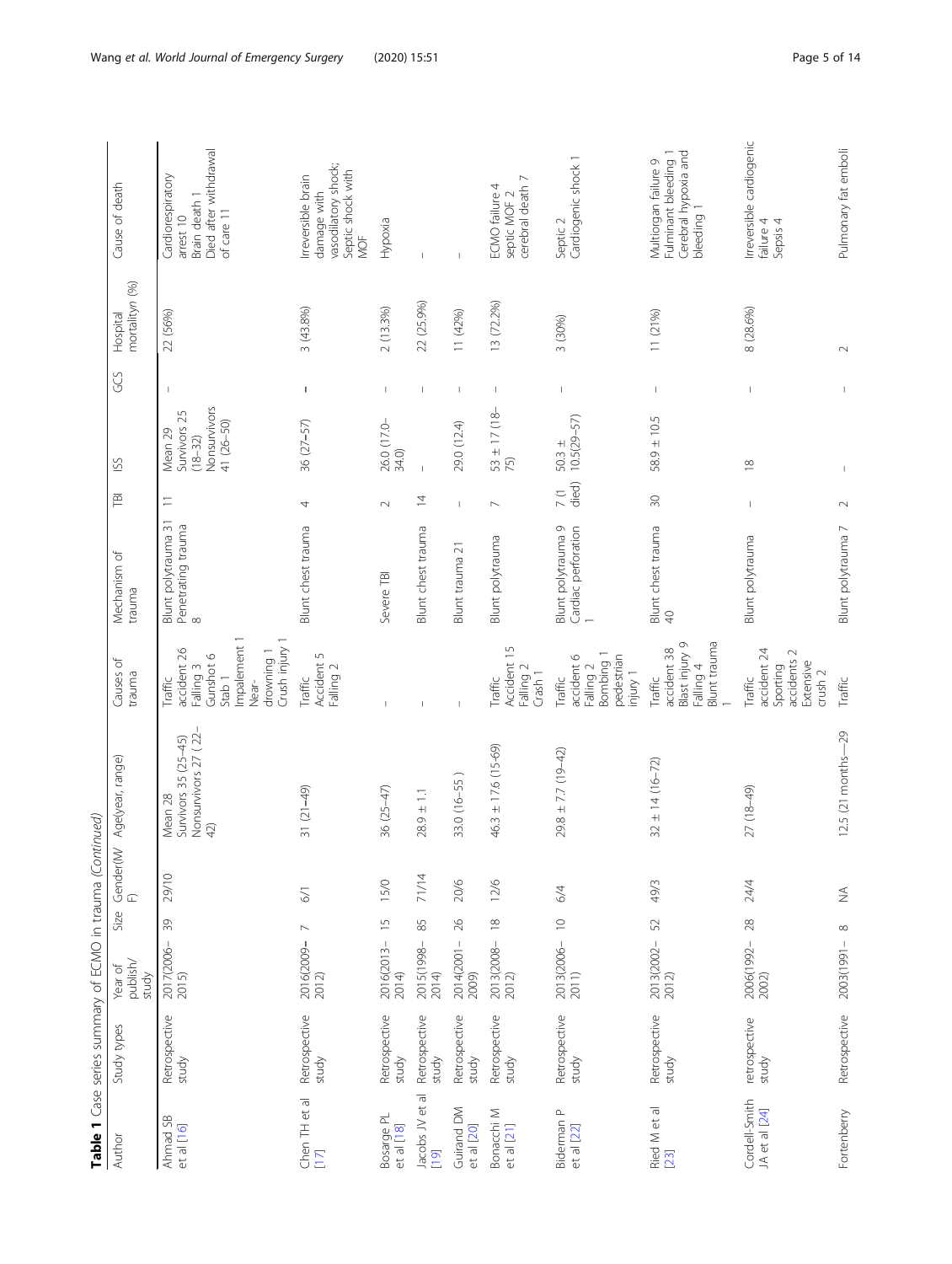|                                | Table 1 Case series summary of ECMO in trauma (Continued) |                              |                |            |                                                                |                                                                                                                                |                                                       |                        |                                                                                 |                                |                            |                                                                                        |
|--------------------------------|-----------------------------------------------------------|------------------------------|----------------|------------|----------------------------------------------------------------|--------------------------------------------------------------------------------------------------------------------------------|-------------------------------------------------------|------------------------|---------------------------------------------------------------------------------|--------------------------------|----------------------------|----------------------------------------------------------------------------------------|
| Author                         | Study types                                               | publish/<br>Year of<br>study | Size           |            | Gender(M/ Age(year, range)<br>F)                               | Causes of<br>trauma                                                                                                            | Mechanism of<br>trauma                                | 戸                      | SS                                                                              | GGS                            | mortalityn (%)<br>Hospital | Cause of death                                                                         |
| Ahmad SB<br>et al [16]         | Retrospective<br>study                                    | 2017(2006–<br>2015)          | $\Im$          | 29/10      | Nonsurvivors 27 (22-<br>Survivors 35 (25-45)<br>Mean 28<br>42) | Impalement 1<br>Crush injury 1<br>accident 26<br>drowning 1<br>Gunshot 6<br>Falling 3<br>Stab <sub>1</sub><br>Traffic<br>Near- | Blunt polytrauma 31<br>Penetrating trauma<br>$\infty$ | $\equiv$               | Nonsurvivors<br>Survivors <sub>25</sub><br>41 (26-50)<br>Mean 29<br>$(18 - 32)$ |                                | 22 (56%)                   | Died after withdrawal<br>Cardiorespiratory<br>Brain death 1<br>of care 11<br>arrest 10 |
| Chen TH et al<br>[17]          | Retrospective<br>study                                    | 2016(2009-<br>2012)          | $\overline{ }$ | 57         | $31(21-49)$                                                    | Accident 5<br>Falling 2<br>Traffic                                                                                             | Blunt chest trauma                                    | 4                      | $36(27 - 57)$                                                                   | $\mathbf{I}$                   | 3 (43.8%)                  | vasodilatory shock;<br>Septic shock with<br>Irreversible brain<br>damage with<br>NOF   |
| Bosarge PL<br>et al [18]       | Retrospective<br>study                                    | 2016(2013–<br>2014)          | $\frac{5}{1}$  | 15/0       | 36 (25-47)                                                     |                                                                                                                                | Severe TBI                                            | $\sim$                 | 26.0 (17.0-<br>34.0)                                                            | T                              | 2(13.3%)                   | Hypoxia                                                                                |
| Jacobs JV et al<br>$[19]$      | Retrospective<br>study                                    | 2015(1998–<br>2014)          | $85$           | 71/14      | $28.9 \pm 1.1$                                                 |                                                                                                                                | Blunt chest trauma                                    | $\overline{4}$         |                                                                                 | $\mathbf{I}$                   | 22 (25.9%)                 |                                                                                        |
| Guirand DM<br>et al [20]       | Retrospective<br>study                                    | 2014(2001–<br>2009)          | $26$           | 20/6       | 33.0 (16-55)                                                   |                                                                                                                                | Blunt trauma 21                                       | $\mathsf I$            | 29.0 (12.4)                                                                     | $\mathsf I$                    | 11 (42%)                   |                                                                                        |
| Bonacchi M<br>et al [21]       | Retrospective<br>study                                    | 2013(2008-<br>2012)          | $\frac{8}{10}$ | 12/6       | $46.3 \pm 17.6 (15-69)$                                        | Accident 15<br>Falling 2<br>Crash 1<br>Traffic                                                                                 | Blunt polytrauma                                      | $\sim$                 | $\frac{53 \pm 17}{75}$ (18-                                                     | T                              | 13 (72.2%)                 | cerebral death 7<br>ECMO failure 4<br>septic MOF 2                                     |
| Biderman P<br>et al [22]       | Retrospective<br>study                                    | 2013(2006-<br>2011)          | $\cup$         | 6/4        | $29.8 \pm 7.7$ (19-42)                                         | Bombing 1<br>pedestrian<br>accident 6<br>Falling 2<br>injury 1<br>Traffic                                                      | Blunt polytrauma 9<br>Cardiac perforation             | died)<br>$\frac{1}{2}$ | $10.5(29 - 57)$<br>$50.3 \pm$                                                   | $\overline{\phantom{a}}$       | 3 (30%)                    | Cardiogenic shock 1<br>Septic 2                                                        |
| Ried M et al<br>[23]           | Retrospective<br>study                                    | 2013(2002–<br>2012)          | 52             | 49/3       | $32 \pm 14 (16 - 72)$                                          | <b>Blunt</b> trauma<br>Blast injury 9<br>accident 38<br>Falling 4<br>Traffic                                                   | Blunt chest trauma<br>$\overline{Q}$                  | $\overline{30}$        | $58.9 \pm 10.5$                                                                 | $\mathsf I$                    | 11 (21%)                   | Fulminant bleeding 1<br>Cerebral hypoxia and<br>Multiorgan failure 9<br>bleeding 1     |
| Cordell-Smith<br>JA et al [24] | retrospective<br>study                                    | 2006(1992-<br>2002)          | $28$           | 24/4       | 27 (18-49)                                                     | accident 24<br>accidents 2<br>Extensive<br>Sporting<br>crush <sub>2</sub><br>Traffic                                           | Blunt polytrauma                                      |                        | $\frac{8}{10}$                                                                  | $\begin{array}{c} \end{array}$ | 8 (28.6%)                  | Irreversible cardiogenic<br>failure 4<br>Sepsis 4                                      |
| Fortenberry                    | Retrospective                                             | 2003(1991-                   | $\infty$       | $\lessgtr$ | 12.5 (21 months-29                                             | Traffic                                                                                                                        | Blunt polytrauma 7                                    | $\sim$                 |                                                                                 |                                | $\sim$                     | Pulmonary fat emboli                                                                   |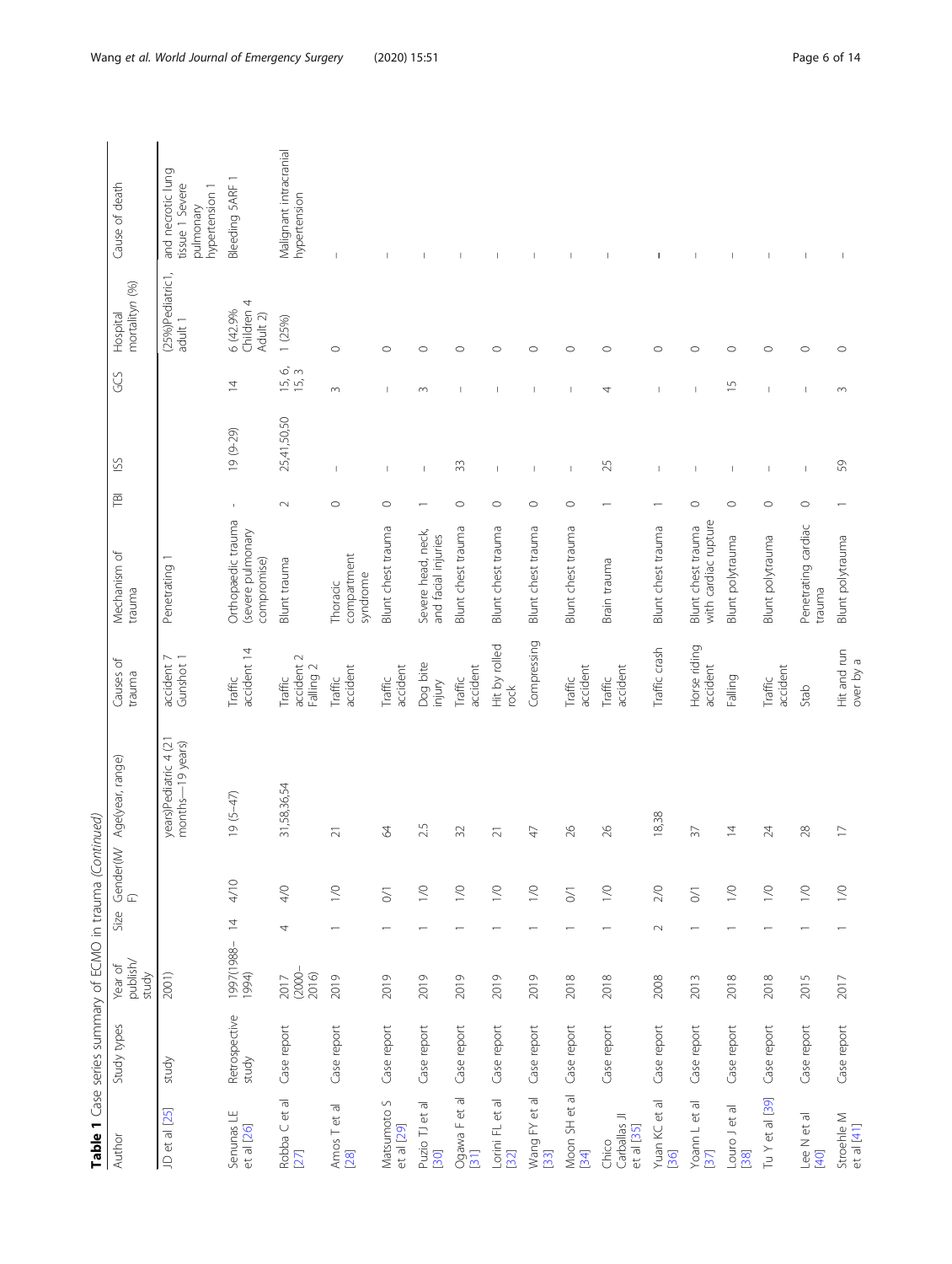|                                                       | Table 1 Case series summary of ECMO in trauma (Continued) |                              |                          |                 |                                           |                                    |                                                        |                          |                           |                          |                                               |                                                                     |
|-------------------------------------------------------|-----------------------------------------------------------|------------------------------|--------------------------|-----------------|-------------------------------------------|------------------------------------|--------------------------------------------------------|--------------------------|---------------------------|--------------------------|-----------------------------------------------|---------------------------------------------------------------------|
| Author                                                | Study types                                               | publish/<br>Year of<br>study | Size                     | Gender(M/<br>F) | Age(year, range)                          | Causes of<br>trauma                | Mechanism of<br>trauma                                 | FBI                      | SS                        | GGS                      | mortalityn (%)<br>Hospital                    | Cause of death                                                      |
| JD et al [25]                                         | study                                                     | 2001)                        |                          |                 | years)Pediatric 4 (21<br>months-19 years) | accident 7<br>Gunshot 1            | Penetrating                                            |                          |                           |                          | (25%)Pediatric1,<br>adult 1                   | and necrotic lung<br>tissue 1 Severe<br>hypertension 1<br>pulmonary |
| Senunas LE<br>et al [26]                              | Retrospective<br>study                                    | 1997(1988-<br>1994)          | $\overline{4}$           | 4/10            | $19(5-47)$                                | accident 14<br>Traffic             | Orthopaedic trauma<br>(severe pulmonary<br>compromise) | $\mathbf{I}$             | $19(9-29)$                | $\overline{4}$           | Children <sub>4</sub><br>6 (42.9%<br>Adult 2) | Bleeding 5ARF 1                                                     |
| Robba C et al<br>[27]                                 | Case report                                               | $(2000 -$<br>2016)<br>2017   | 4                        | 4/0             | 31,58,36,54                               | accident 2<br>Falling 2<br>Traffic | Blunt trauma                                           | $\sim$                   | 25,41,50,50               | 6 m<br>15, 15            | 1 (25%)                                       | Malignant intracranial<br>hypertension                              |
| Amos T et al<br>28                                    | Case report                                               | 2019                         |                          | $\gtrsim$       | $\overline{\sim}$                         | accident<br>Traffic                | compartment<br>syndrome<br>Thoracic                    | $\circ$                  | ı                         | $\sim$                   | $\circ$                                       | $\overline{\phantom{a}}$                                            |
| Matsumoto S<br>et al [29]                             | Case report                                               | 2019                         |                          | $\geq$          | $\mathcal{R}$                             | accident<br>Traffic                | Blunt chest trauma                                     | $\circ$                  | $\mathbf{I}$              | $\mathbf{I}$             | $\circ$                                       | $\mathbf{I}$                                                        |
| Puzio TJ et al<br>[30]                                | Case report                                               | 2019                         |                          | $\geq$          | 25                                        | Dog bite<br>injury                 | Severe head, neck,<br>and facial injuries              |                          | J.                        | $\sim$                   | $\circ$                                       | $\overline{\phantom{a}}$                                            |
| Ogawa Fet al<br>[31]                                  | Case report                                               | 2019                         |                          | $\geq$          | $\Im$                                     | accident<br>Traffic                | Blunt chest trauma                                     | $\circ$                  | 33                        | $\overline{\phantom{a}}$ | $\circ$                                       | $\overline{\phantom{a}}$                                            |
| $\overline{\sigma}$<br>$\vec{c}$<br>Lorini FL<br>[32] | Case report                                               | 2019                         |                          | $\geq$          | $\overline{2}1$                           | Hit by rolled<br>rock              | Blunt chest trauma                                     | $\circ$                  | T                         | I                        | $\circ$                                       | $\mathbf{I}$                                                        |
| et al<br>Wang FY (<br>[33]                            | Case report                                               | 2019                         |                          | $\geq$          | $\overline{4}$                            | Compressing                        | Blunt chest trauma                                     | $\circ$                  | $\mathbf{I}$              |                          | $\circ$                                       | 1                                                                   |
| Moon SH et al<br>$[34]$                               | Case report                                               | 2018                         |                          | $\geq$          | 26                                        | accident<br>Traffic                | Blunt chest trauma                                     | $\circ$                  | $\overline{\phantom{a}}$  | $\overline{\phantom{a}}$ | $\circ$                                       | $\overline{\phantom{a}}$                                            |
| Carballas JI<br>et al [35]<br>Chico                   | Case report                                               | 2018                         | $\overline{\phantom{0}}$ | $\geq$          | $\delta$                                  | accident<br>Traffic                | Brain trauma                                           | $\overline{\phantom{0}}$ | 25                        | 4                        | $\circ$                                       | $\overline{\phantom{a}}$                                            |
| Yuan KC et al<br>[36]                                 | Case report                                               | 2008                         | $\sim$                   | 2/0             | 18,38                                     | Traffic crash                      | Blunt chest trauma                                     |                          | $\mathbf{I}$              | $\mathbf{I}$             | $\circ$                                       | J.                                                                  |
| Yoann L et al<br>37                                   | Case report                                               | 2013                         | $\overline{ }$           | $\geq$          | $\overline{57}$                           | Horse riding<br>accident           | with cardiac rupture<br>Blunt chest trauma             | $\circ$                  |                           | $\overline{1}$           | $\circ$                                       | $\overline{1}$                                                      |
| Louro Jet al<br>[38]                                  | Case report                                               | 2018                         |                          | $\geq$          | $\overline{4}$                            | Falling                            | Blunt polytrauma                                       | $\circ$                  |                           | $\overline{1}$           | $\circ$                                       | $\overline{\phantom{a}}$                                            |
| Tu Y et al [39]                                       | Case report                                               | 2018                         |                          | $\geq$          | 24                                        | accident<br>Traffic                | Blunt polytrauma                                       | $\circ$                  | $\overline{1}$            | $\overline{1}$           | $\circ$                                       | $\mathbf{I}$                                                        |
| Lee N et al<br>[40]                                   | Case report                                               | 2015                         |                          | $\geq$          | 28                                        | Stab                               | Penetrating cardiac<br>trauma                          | $\circ$                  | $\overline{1}$            | $\overline{1}$           | $\circ$                                       | $\mathsf{I}$                                                        |
| Stroehle M<br>et al [41]                              | Case report                                               | 2017                         |                          | $\geq$          | $\Box$                                    | Hit and run<br>over by a           | Blunt polytrauma                                       |                          | $\mathbb{S}^{\mathbb{O}}$ | $\sim$                   | $\circ$                                       | 1                                                                   |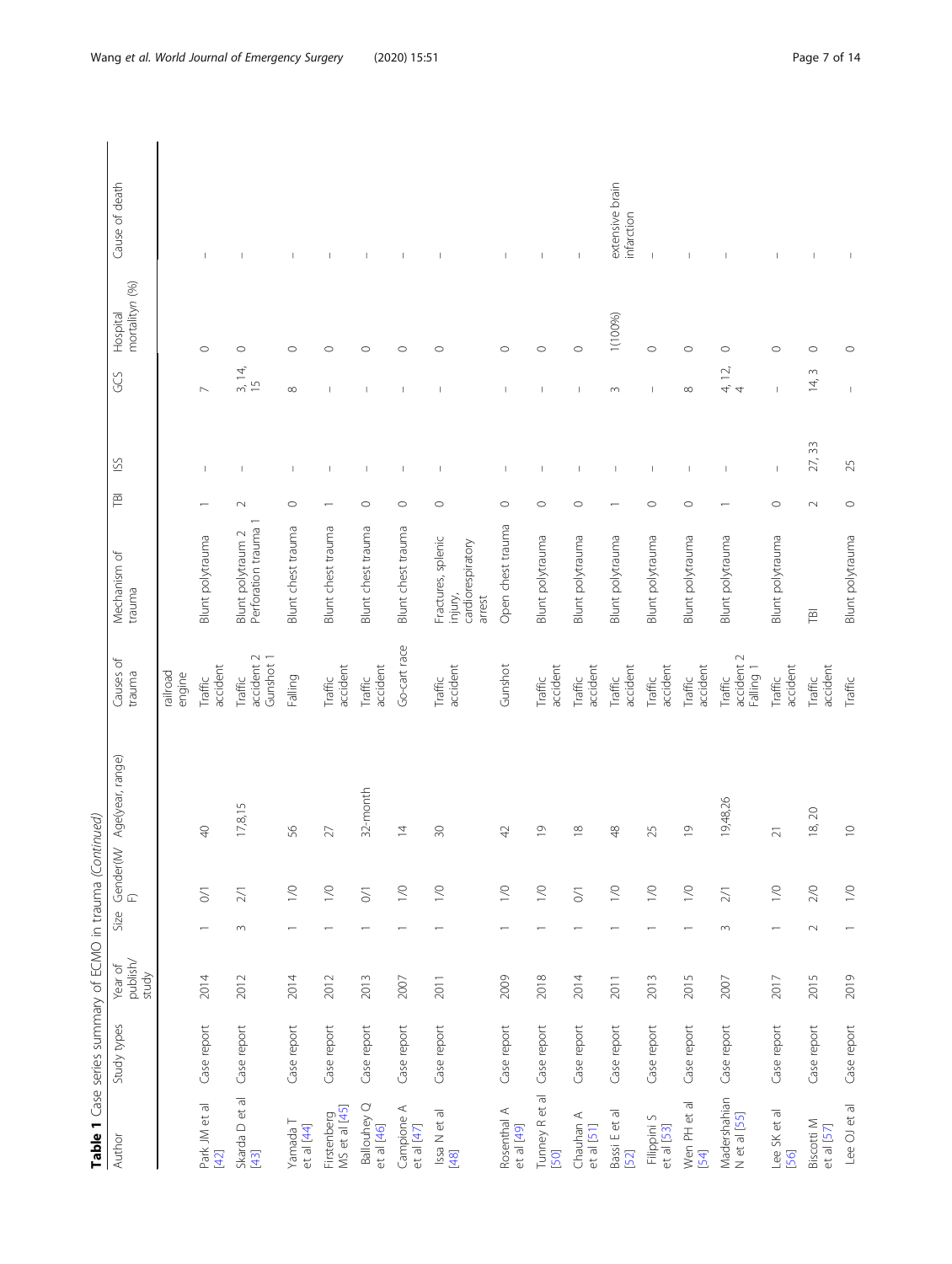| .<br>.<br>.    |  |
|----------------|--|
|                |  |
|                |  |
| I              |  |
|                |  |
| I              |  |
|                |  |
|                |  |
|                |  |
| ļ              |  |
|                |  |
| İ              |  |
|                |  |
|                |  |
| C<br>L<br>L    |  |
|                |  |
| j<br>I         |  |
|                |  |
|                |  |
| I              |  |
|                |  |
|                |  |
|                |  |
|                |  |
|                |  |
|                |  |
|                |  |
|                |  |
| יו וממומים הוא |  |
|                |  |
| ì              |  |
|                |  |
| I              |  |
|                |  |
|                |  |
| i              |  |
|                |  |
|                |  |
|                |  |
|                |  |
|                |  |
|                |  |
|                |  |
|                |  |

| Table 1 Case series summary of ECMO in trauma (Continued) |             |                              |                |                      |                                 |                                    |                                                              |         |                          |                                         |                            |                               |
|-----------------------------------------------------------|-------------|------------------------------|----------------|----------------------|---------------------------------|------------------------------------|--------------------------------------------------------------|---------|--------------------------|-----------------------------------------|----------------------------|-------------------------------|
| Author                                                    | Study types | publish/<br>Year of<br>study | Size           |                      | Gender(M/Age(year, range)<br>F) | Causes of<br>trauma                | Mechanism of<br>trauma                                       | 戸       | SS                       | GS                                      | mortalityn (%)<br>Hospital | Cause of death                |
|                                                           |             |                              |                |                      |                                 | railroad<br>engine                 |                                                              |         |                          |                                         |                            |                               |
| Park JM et al<br>$[42]$                                   | Case report | 2014                         |                | $\leq$               | $\Theta$                        | accident<br>Traffic                | Blunt polytrauma                                             |         | $\mathbf{I}$             |                                         | $\circ$                    | $\mathbf{I}$                  |
| Skarda D et al<br>[43]                                    | Case report | 2012                         | $\sim$         | $\geq$ $\!\!$ $\!\!$ | 17,8,15                         | accident 2<br>Gunshot 1<br>Traffic | Blunt polytraum 2<br>Perforation trauma                      | $\sim$  | $\mathbf{I}$             | 3, 14,<br>$\frac{5}{1}$                 | $\circ$                    | $\mathbf{I}$                  |
| Yamada T<br>et al [44]                                    | Case report | 2014                         |                | $\geq$               | 95                              | Falling                            | Blunt chest trauma                                           | $\circ$ | $\overline{\phantom{a}}$ | $\infty$                                | $\circ$                    | $\overline{\phantom{a}}$      |
| MS et al [45]<br>Firstenberg                              | Case report | 2012                         |                | $\gtrsim$            | 27                              | accident<br>Traffic                | Blunt chest trauma                                           |         | $\mathbf{I}$             | $\mathbf{I}$                            | $\circ$                    | T                             |
| Ballouhey Q<br>et al [46]                                 | Case report | 2013                         |                | $\leq$               | 32-month                        | accident<br>Traffic                | Blunt chest trauma                                           | $\circ$ | $\mathbf{I}$             | $\mathbf{I}$                            | $\circ$                    | $\mathbf{I}$                  |
| Campione A<br>et al [47]                                  | Case report | 2007                         |                | $\geq$               | $\overline{4}$                  | Go-cart race                       | Blunt chest trauma                                           | $\circ$ | $\overline{\phantom{a}}$ | $\mathbf{I}$                            | $\circ$                    | $\mathbf{I}$                  |
| Issa N et al<br>$[48]$                                    | Case report | 2011                         |                | $\geq$               | $\infty$                        | accident<br>Traffic                | Fractures, splenic<br>cardiorespiratory<br>injury,<br>arrest | $\circ$ |                          |                                         | $\circ$                    |                               |
| Rosenthal A<br>et al [49]                                 | Case report | 2009                         |                | $\geq$               | 42                              | Gunshot                            | Open chest trauma                                            | $\circ$ | $\mathbf{I}$             | $\mathbf{I}$                            | $\circ$                    | $\mathbf{I}$                  |
| Tunney R et al<br>[50]                                    | Case report | 2018                         |                | $\geq$               | $\overline{0}$                  | accident<br>Traffic                | Blunt polytrauma                                             | $\circ$ | I                        | ı                                       | $\circ$                    | $\overline{\phantom{a}}$      |
| Chauhan A<br>et al [51]                                   | Case report | 2014                         |                | $\geq$               | $\frac{8}{1}$                   | accident<br>Traffic                | Blunt polytrauma                                             | $\circ$ | $\overline{\phantom{a}}$ | $\mathbf{I}$                            | $\circ$                    | $\overline{\phantom{a}}$      |
| Bassi E et al<br>52                                       | Case report | 2011                         |                | $\gtrsim$            | $\frac{8}{3}$                   | accident<br>Traffic                | Blunt polytrauma                                             |         | $\overline{1}$           | $\sim$                                  | 1(100%)                    | extensive brain<br>infarction |
| Filippini S<br>et al [53]                                 | Case report | 2013                         |                | $\geq$               | 25                              | accident<br>Traffic                | Blunt polytrauma                                             | $\circ$ | $\overline{\phantom{a}}$ | $\mathbf{I}$                            | $\circ$                    | $\mathbf{I}$                  |
| Wen PH et al<br>54                                        | Case report | 2015                         |                | $\geq$               | $\overline{0}$                  | accident<br>Traffic                | Blunt polytrauma                                             | $\circ$ | $\mathbf{I}$             | $\infty$                                | $\circ$                    |                               |
| Madershahian<br>N et al [55]                              | Case report | 2007                         | $\sim$         | $\frac{2}{1}$        | 19,48,26                        | accident 2<br>Falling 1<br>Traffic | Blunt polytrauma                                             |         | $\overline{1}$           | $\overline{12}$<br>4,<br>$\overline{4}$ | $\circ$                    | $\overline{1}$                |
| Lee SK et al<br>[56]                                      | Case report | 2017                         | $\overline{ }$ | $\geq$               | $\overline{2}1$                 | accident<br>Traffic                | Blunt polytrauma                                             | $\circ$ | $\mathbf{I}$             | $\mathbf{I}$                            | $\circ$                    | т                             |
| Biscotti M<br>et al [57]                                  | Case report | 2015                         | $\sim$         | $2/0$                | 18, 20                          | accident<br>Traffic                | 百                                                            | $\sim$  | 27, 33                   | $\sim$<br>$\overline{4}$                | $\circ$                    | $\mathsf I$                   |
| Lee OJ et al                                              | Case report | 2019                         |                | $\geq$               | $\supseteq$                     | Traffic                            | Blunt polytrauma                                             | $\circ$ | 25                       | $\overline{\phantom{a}}$                | $\circ$                    | $\mathbb{I}$                  |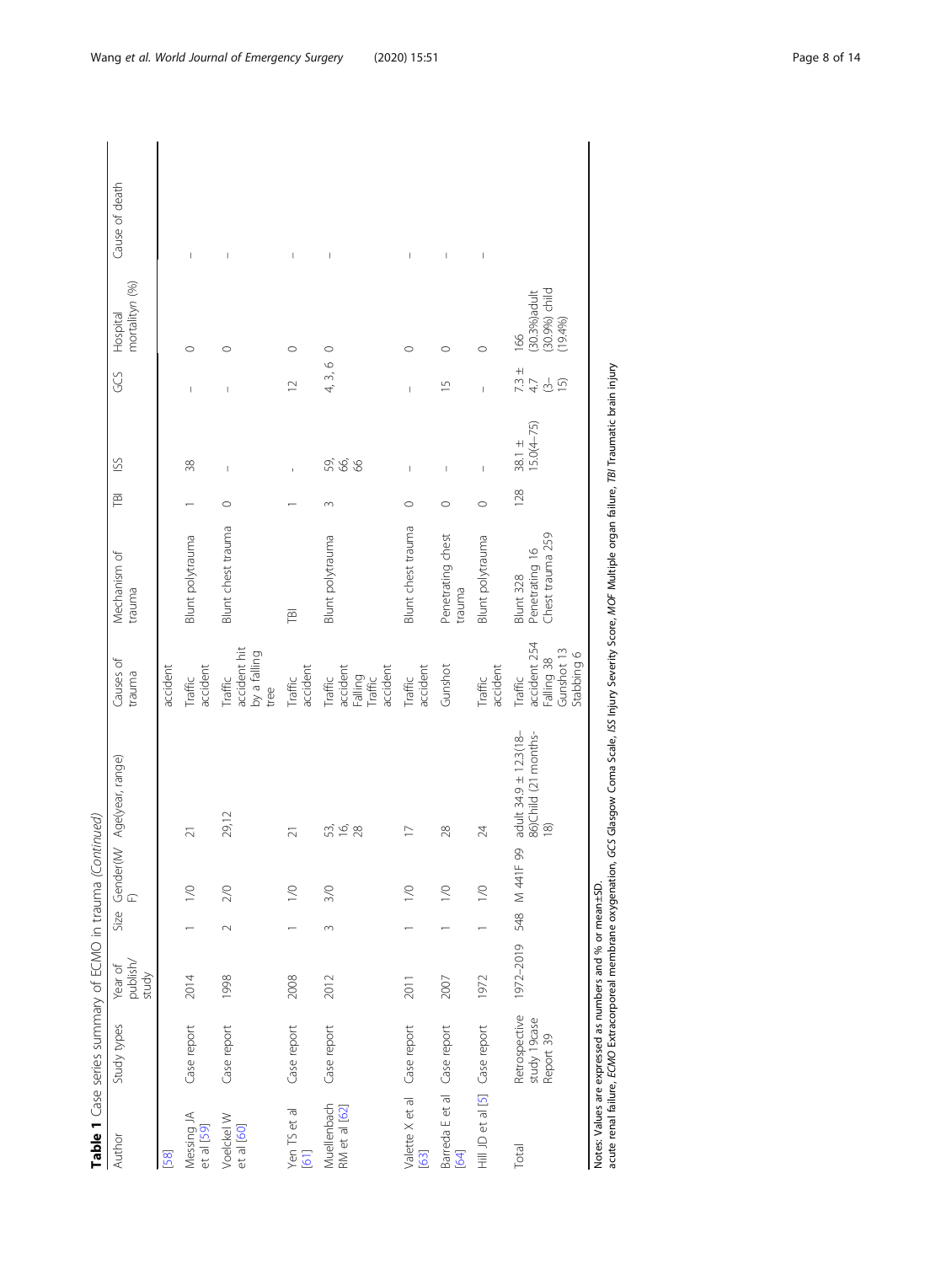|                              | Table 1 Case series summary of ECMO in trauma (Continued) |                              |                    |           |                                                            |                                                                   |                                                        |         |                                                                                                                                                                                                                                                                                                                                                                                                                |                                                       |                                                  |                                                                                                                                                                                                                                                                                                                                                                                  |
|------------------------------|-----------------------------------------------------------|------------------------------|--------------------|-----------|------------------------------------------------------------|-------------------------------------------------------------------|--------------------------------------------------------|---------|----------------------------------------------------------------------------------------------------------------------------------------------------------------------------------------------------------------------------------------------------------------------------------------------------------------------------------------------------------------------------------------------------------------|-------------------------------------------------------|--------------------------------------------------|----------------------------------------------------------------------------------------------------------------------------------------------------------------------------------------------------------------------------------------------------------------------------------------------------------------------------------------------------------------------------------|
| Author                       | Study types                                               | publish/<br>Year of<br>study | Size               | ĹL        | Gender(M/ Age(year, range)                                 | Causes of<br>trauma                                               | Mechanism of<br>trauma                                 | ΤBΙ     | SS                                                                                                                                                                                                                                                                                                                                                                                                             | GS                                                    | mortalityn (%)<br>Hospital                       | Cause of death                                                                                                                                                                                                                                                                                                                                                                   |
| [58]                         |                                                           |                              |                    |           |                                                            | accident                                                          |                                                        |         |                                                                                                                                                                                                                                                                                                                                                                                                                |                                                       |                                                  |                                                                                                                                                                                                                                                                                                                                                                                  |
| Messing JA<br>et al [59]     | Case report                                               | 2014                         |                    | $\leq$    | $\overline{21}$                                            | accident<br>Traffic                                               | <b>Blunt</b> polytrauma                                |         | 38                                                                                                                                                                                                                                                                                                                                                                                                             | I                                                     | $\circ$                                          | $\begin{array}{c} \rule{0pt}{2.5ex} \rule{0pt}{2.5ex} \rule{0pt}{2.5ex} \rule{0pt}{2.5ex} \rule{0pt}{2.5ex} \rule{0pt}{2.5ex} \rule{0pt}{2.5ex} \rule{0pt}{2.5ex} \rule{0pt}{2.5ex} \rule{0pt}{2.5ex} \rule{0pt}{2.5ex} \rule{0pt}{2.5ex} \rule{0pt}{2.5ex} \rule{0pt}{2.5ex} \rule{0pt}{2.5ex} \rule{0pt}{2.5ex} \rule{0pt}{2.5ex} \rule{0pt}{2.5ex} \rule{0pt}{2.5ex} \rule{0$ |
| Voelckel W<br>et al [60]     | Case report                                               | 1998                         | $\scriptstyle\sim$ | 2/0       | 29,12                                                      | accident hit<br>by a falling<br>Traffic<br>tree                   | Blunt chest trauma                                     | $\circ$ | $\mathbf{I}$                                                                                                                                                                                                                                                                                                                                                                                                   | I                                                     | $\circ$                                          | I                                                                                                                                                                                                                                                                                                                                                                                |
| Yen TS et al<br>[61]         | Case report                                               | 2008                         |                    | $\leq$    | $\overline{2}1$                                            | accident<br>Traffic                                               | <b>TBI</b>                                             |         |                                                                                                                                                                                                                                                                                                                                                                                                                | $\supseteq$                                           | $\circ$                                          | $\mathord{\text{\rm I}}$                                                                                                                                                                                                                                                                                                                                                         |
| Muellenbach<br>RM et al [62] | Case report                                               | 2012                         | 3                  | 3/0       | 53<br>16<br>28                                             | accident<br>accident<br>Falling<br>Traffic<br>Traffic             | Blunt polytrauma                                       | 3       | <u>යි දි</u> යි                                                                                                                                                                                                                                                                                                                                                                                                | $\circ$<br>4,3,                                       | $\circ$                                          | $\mid$                                                                                                                                                                                                                                                                                                                                                                           |
| Valette X et al<br>$[63]$    | Case report                                               | 2011                         |                    | $\leq$    | $\Box$                                                     | accident<br>Traffic                                               | Blunt chest trauma                                     | $\circ$ | Ï                                                                                                                                                                                                                                                                                                                                                                                                              | I                                                     | $\circ$                                          | I                                                                                                                                                                                                                                                                                                                                                                                |
| Barreda E et al (<br>[64]    | Case report                                               | 2007                         |                    | $\leq$    | 28                                                         | Gunshot                                                           | Penetrating chest<br>trauma                            | $\circ$ | $\overline{1}$                                                                                                                                                                                                                                                                                                                                                                                                 | $\overline{1}$                                        | $\circ$                                          | I                                                                                                                                                                                                                                                                                                                                                                                |
| Hill JD et al [5]            | Case report                                               | 1972                         |                    | $\geq$    | 24                                                         | accident<br>Traffic                                               | Blunt polytrauma                                       | $\circ$ | $\begin{array}{c} \rule{0pt}{2ex} \rule{0pt}{2ex} \rule{0pt}{2ex} \rule{0pt}{2ex} \rule{0pt}{2ex} \rule{0pt}{2ex} \rule{0pt}{2ex} \rule{0pt}{2ex} \rule{0pt}{2ex} \rule{0pt}{2ex} \rule{0pt}{2ex} \rule{0pt}{2ex} \rule{0pt}{2ex} \rule{0pt}{2ex} \rule{0pt}{2ex} \rule{0pt}{2ex} \rule{0pt}{2ex} \rule{0pt}{2ex} \rule{0pt}{2ex} \rule{0pt}{2ex} \rule{0pt}{2ex} \rule{0pt}{2ex} \rule{0pt}{2ex} \rule{0pt}{$ | $\overline{1}$                                        | $\circ$                                          | $\mid$                                                                                                                                                                                                                                                                                                                                                                           |
| Total                        | Retrospective<br>study 19case<br>Report 39                | 1972-2019 548                |                    | M 441F 99 | adult 34.9 ± 12.3(18-<br>86)Child (21 months-<br>$\approx$ | accident 254<br>Gunshot 13<br>Stabbing 6<br>Falling 38<br>Traffic | Chest trauma 259<br>Penetrating 16<br><b>Blunt 328</b> | 128     | $15.0(4 - 75)$<br>$38.1 \pm$                                                                                                                                                                                                                                                                                                                                                                                   | $7.3 \pm$<br>4.7<br>$\overline{3}$<br>$\overline{15}$ | (30.3%) adult<br>(30.9%) child<br>(19.4%)<br>166 |                                                                                                                                                                                                                                                                                                                                                                                  |
|                              | Notes: Values are expressed as numbers and % or mean±SD.  |                              |                    |           |                                                            |                                                                   |                                                        |         |                                                                                                                                                                                                                                                                                                                                                                                                                |                                                       |                                                  |                                                                                                                                                                                                                                                                                                                                                                                  |

nvoes: values are expressed as numbers and % or mean±ɔU.<br>acute renal failure, ECMO Extracorporeal membrane oxygenation, GCS Glasgow Coma Scale, JSS Injury Severity Score, MOF Multiple organ failure, T8l Traumatic brain inj acute renal failure, ECMO Extracorporeal membrane oxygenation, GCS Glasgow Coma Scale, ISS Injury Severity Score, MOF Multiple organ failure, TBI Traumatic brain injury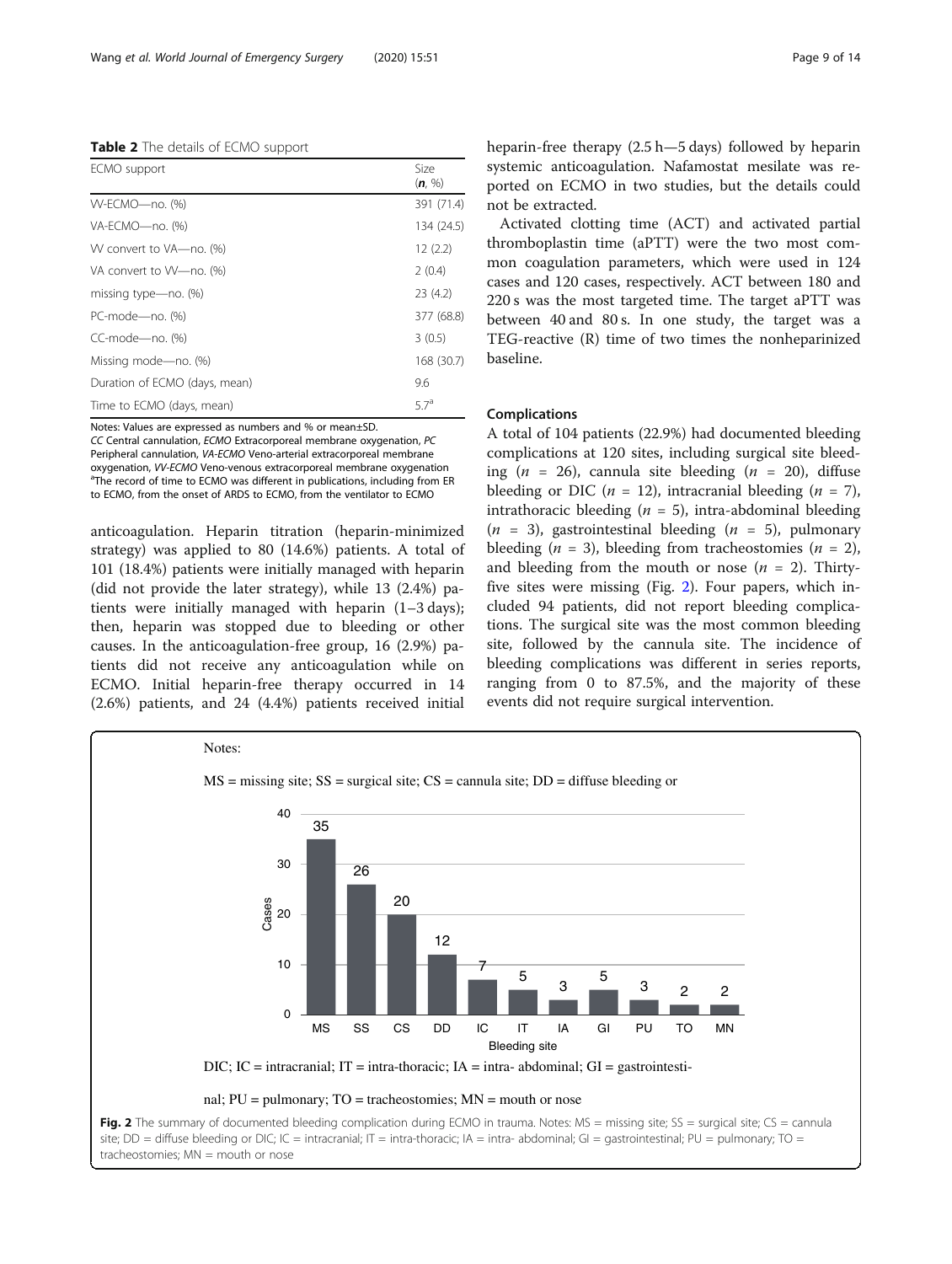<span id="page-8-0"></span>

| Table 2 The details of ECMO support |  |  |  |
|-------------------------------------|--|--|--|
|-------------------------------------|--|--|--|

| ECMO support                  | Size<br>(n, %) |
|-------------------------------|----------------|
| W-ECMO-no. (%)                | 391 (71.4)     |
| VA-ECMO-no. (%)               | 134 (24.5)     |
| W convert to VA-no. (%)       | 12(2.2)        |
| VA convert to W-no. (%)       | 2(0.4)         |
| missing type-no. (%)          | 23(4.2)        |
| PC-mode-no. (%)               | 377 (68.8)     |
| CC-mode-no. (%)               | 3(0.5)         |
| Missing mode-no. (%)          | 168 (30.7)     |
| Duration of ECMO (days, mean) | 9.6            |
| Time to ECMO (days, mean)     | $5.7^a$        |

Notes: Values are expressed as numbers and % or mean±SD.

CC Central cannulation, ECMO Extracorporeal membrane oxygenation, PC Peripheral cannulation, VA-ECMO Veno-arterial extracorporeal membrane oxygenation, *W-ECMO* Veno-venous extracorporeal membrane oxygenation <sup>a</sup>The record of time to ECMO was different in publications, including from ER to ECMO, from the onset of ARDS to ECMO, from the ventilator to ECMO

anticoagulation. Heparin titration (heparin-minimized strategy) was applied to 80 (14.6%) patients. A total of 101 (18.4%) patients were initially managed with heparin (did not provide the later strategy), while 13 (2.4%) patients were initially managed with heparin (1–3 days); then, heparin was stopped due to bleeding or other causes. In the anticoagulation-free group, 16 (2.9%) patients did not receive any anticoagulation while on ECMO. Initial heparin-free therapy occurred in 14 (2.6%) patients, and 24 (4.4%) patients received initial heparin-free therapy (2.5 h—5 days) followed by heparin systemic anticoagulation. Nafamostat mesilate was reported on ECMO in two studies, but the details could not be extracted.

Activated clotting time (ACT) and activated partial thromboplastin time (aPTT) were the two most common coagulation parameters, which were used in 124 cases and 120 cases, respectively. ACT between 180 and 220 s was the most targeted time. The target aPTT was between 40 and 80 s. In one study, the target was a TEG-reactive (R) time of two times the nonheparinized baseline.

### Complications

A total of 104 patients (22.9%) had documented bleeding complications at 120 sites, including surgical site bleeding ( $n = 26$ ), cannula site bleeding ( $n = 20$ ), diffuse bleeding or DIC ( $n = 12$ ), intracranial bleeding ( $n = 7$ ), intrathoracic bleeding ( $n = 5$ ), intra-abdominal bleeding  $(n = 3)$ , gastrointestinal bleeding  $(n = 5)$ , pulmonary bleeding ( $n = 3$ ), bleeding from tracheostomies ( $n = 2$ ), and bleeding from the mouth or nose  $(n = 2)$ . Thirtyfive sites were missing (Fig. 2). Four papers, which included 94 patients, did not report bleeding complications. The surgical site was the most common bleeding site, followed by the cannula site. The incidence of bleeding complications was different in series reports, ranging from 0 to 87.5%, and the majority of these events did not require surgical intervention.



site; DD = diffuse bleeding or DIC; IC = intracranial; IT = intra-thoracic; IA = intra- abdominal; GI = gastrointestinal; PU = pulmonary; TO = tracheostomies;  $MN = m$ outh or nose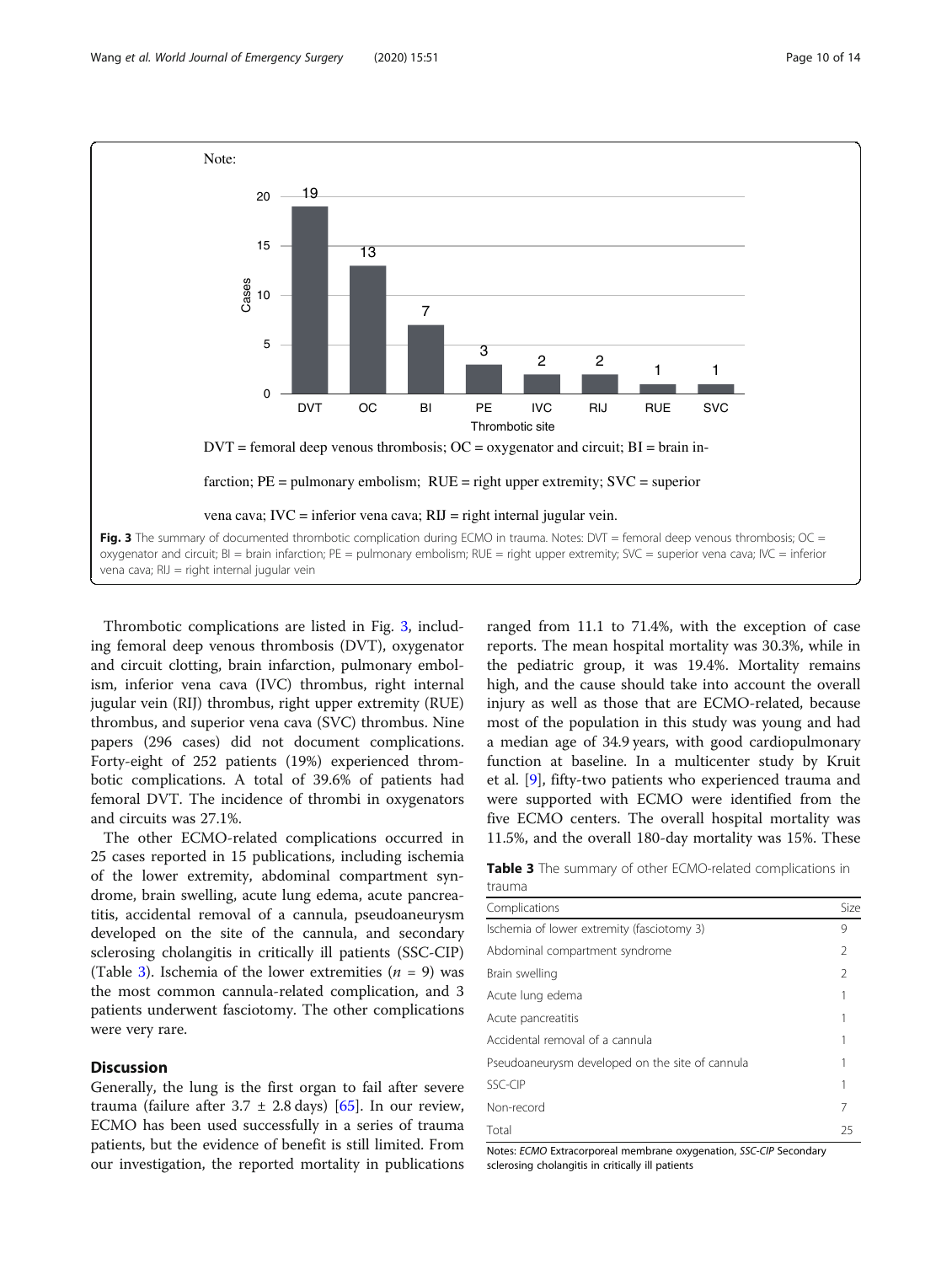

Thrombotic complications are listed in Fig. 3, including femoral deep venous thrombosis (DVT), oxygenator and circuit clotting, brain infarction, pulmonary embolism, inferior vena cava (IVC) thrombus, right internal jugular vein (RIJ) thrombus, right upper extremity (RUE) thrombus, and superior vena cava (SVC) thrombus. Nine papers (296 cases) did not document complications. Forty-eight of 252 patients (19%) experienced thrombotic complications. A total of 39.6% of patients had femoral DVT. The incidence of thrombi in oxygenators and circuits was 27.1%.

The other ECMO-related complications occurred in 25 cases reported in 15 publications, including ischemia of the lower extremity, abdominal compartment syndrome, brain swelling, acute lung edema, acute pancreatitis, accidental removal of a cannula, pseudoaneurysm developed on the site of the cannula, and secondary sclerosing cholangitis in critically ill patients (SSC-CIP) (Table 3). Ischemia of the lower extremities  $(n = 9)$  was the most common cannula-related complication, and 3 patients underwent fasciotomy. The other complications were very rare.

## **Discussion**

Generally, the lung is the first organ to fail after severe trauma (failure after  $3.7 \pm 2.8$  days) [\[65](#page-13-0)]. In our review, ECMO has been used successfully in a series of trauma patients, but the evidence of benefit is still limited. From our investigation, the reported mortality in publications ranged from 11.1 to 71.4%, with the exception of case reports. The mean hospital mortality was 30.3%, while in the pediatric group, it was 19.4%. Mortality remains high, and the cause should take into account the overall injury as well as those that are ECMO-related, because most of the population in this study was young and had a median age of 34.9 years, with good cardiopulmonary function at baseline. In a multicenter study by Kruit et al. [\[9](#page-11-0)], fifty-two patients who experienced trauma and were supported with ECMO were identified from the five ECMO centers. The overall hospital mortality was 11.5%, and the overall 180-day mortality was 15%. These

Table 3 The summary of other ECMO-related complications in trauma

| Complications                                   | Size |
|-------------------------------------------------|------|
| Ischemia of lower extremity (fasciotomy 3)      | 9    |
| Abdominal compartment syndrome                  | 2    |
| Brain swelling                                  | 2    |
| Acute lung edema                                |      |
| Acute pancreatitis                              |      |
| Accidental removal of a cannula                 |      |
| Pseudoaneurysm developed on the site of cannula |      |
| SSC-CIP                                         |      |
| Non-record                                      | 7    |
| Total                                           | 25   |

Notes: ECMO Extracorporeal membrane oxygenation, SSC-CIP Secondary sclerosing cholangitis in critically ill patients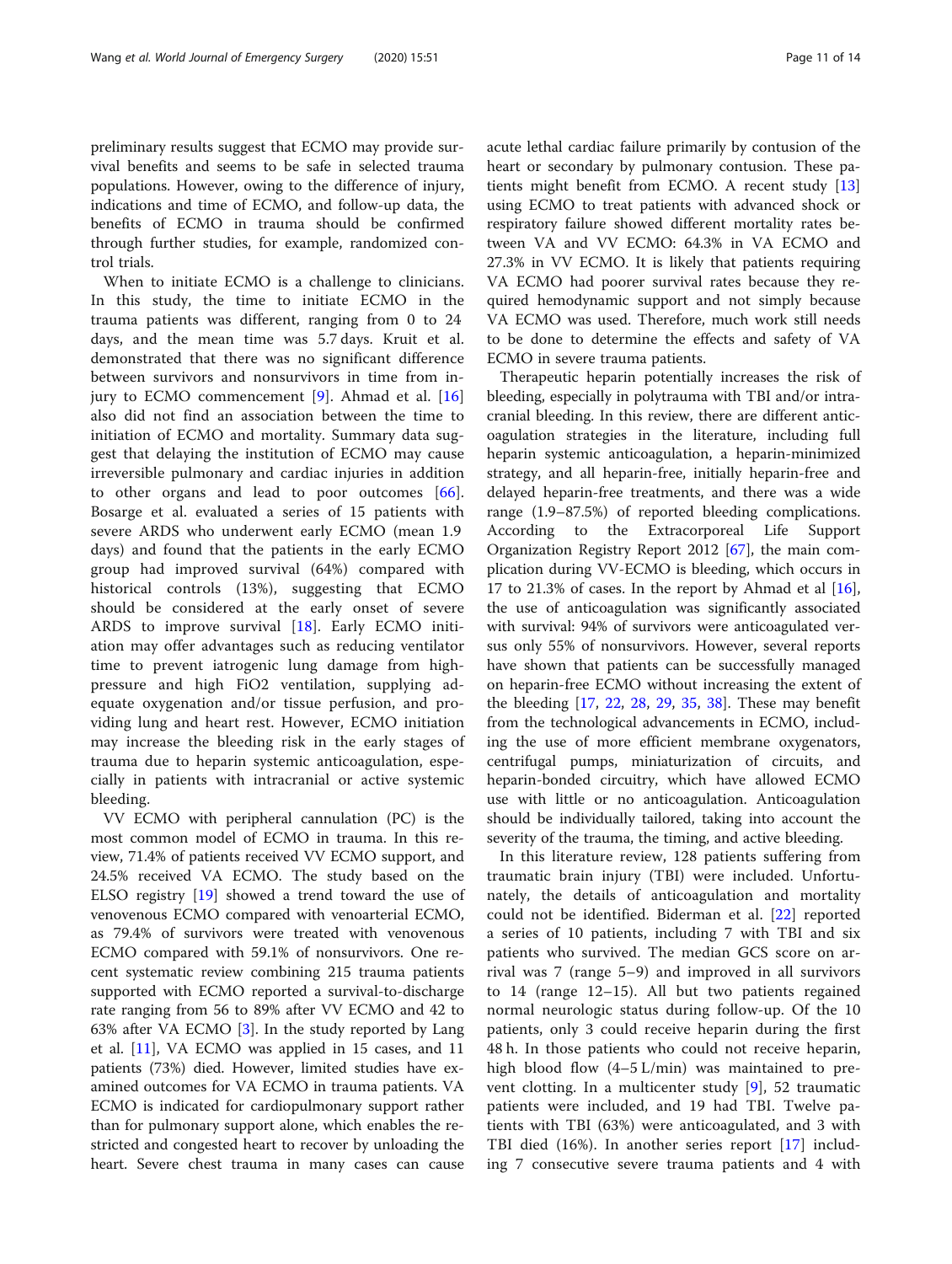preliminary results suggest that ECMO may provide survival benefits and seems to be safe in selected trauma populations. However, owing to the difference of injury, indications and time of ECMO, and follow-up data, the benefits of ECMO in trauma should be confirmed through further studies, for example, randomized control trials.

When to initiate ECMO is a challenge to clinicians. In this study, the time to initiate ECMO in the trauma patients was different, ranging from 0 to 24 days, and the mean time was 5.7 days. Kruit et al. demonstrated that there was no significant difference between survivors and nonsurvivors in time from injury to ECMO commencement [\[9](#page-11-0)]. Ahmad et al. [\[16](#page-12-0)] also did not find an association between the time to initiation of ECMO and mortality. Summary data suggest that delaying the institution of ECMO may cause irreversible pulmonary and cardiac injuries in addition to other organs and lead to poor outcomes [\[66](#page-13-0)]. Bosarge et al. evaluated a series of 15 patients with severe ARDS who underwent early ECMO (mean 1.9 days) and found that the patients in the early ECMO group had improved survival (64%) compared with historical controls (13%), suggesting that ECMO should be considered at the early onset of severe ARDS to improve survival [\[18](#page-12-0)]. Early ECMO initiation may offer advantages such as reducing ventilator time to prevent iatrogenic lung damage from highpressure and high FiO2 ventilation, supplying adequate oxygenation and/or tissue perfusion, and providing lung and heart rest. However, ECMO initiation may increase the bleeding risk in the early stages of trauma due to heparin systemic anticoagulation, especially in patients with intracranial or active systemic bleeding.

VV ECMO with peripheral cannulation (PC) is the most common model of ECMO in trauma. In this review, 71.4% of patients received VV ECMO support, and 24.5% received VA ECMO. The study based on the ELSO registry [[19\]](#page-12-0) showed a trend toward the use of venovenous ECMO compared with venoarterial ECMO, as 79.4% of survivors were treated with venovenous ECMO compared with 59.1% of nonsurvivors. One recent systematic review combining 215 trauma patients supported with ECMO reported a survival-to-discharge rate ranging from 56 to 89% after VV ECMO and 42 to 63% after VA ECMO [[3](#page-11-0)]. In the study reported by Lang et al. [[11\]](#page-11-0), VA ECMO was applied in 15 cases, and 11 patients (73%) died. However, limited studies have examined outcomes for VA ECMO in trauma patients. VA ECMO is indicated for cardiopulmonary support rather than for pulmonary support alone, which enables the restricted and congested heart to recover by unloading the heart. Severe chest trauma in many cases can cause acute lethal cardiac failure primarily by contusion of the heart or secondary by pulmonary contusion. These patients might benefit from ECMO. A recent study [[13](#page-12-0)] using ECMO to treat patients with advanced shock or respiratory failure showed different mortality rates between VA and VV ECMO: 64.3% in VA ECMO and 27.3% in VV ECMO. It is likely that patients requiring VA ECMO had poorer survival rates because they required hemodynamic support and not simply because VA ECMO was used. Therefore, much work still needs to be done to determine the effects and safety of VA ECMO in severe trauma patients.

Therapeutic heparin potentially increases the risk of bleeding, especially in polytrauma with TBI and/or intracranial bleeding. In this review, there are different anticoagulation strategies in the literature, including full heparin systemic anticoagulation, a heparin-minimized strategy, and all heparin-free, initially heparin-free and delayed heparin-free treatments, and there was a wide range (1.9–87.5%) of reported bleeding complications. According to the Extracorporeal Life Support Organization Registry Report 2012 [[67\]](#page-13-0), the main complication during VV-ECMO is bleeding, which occurs in 17 to 21.3% of cases. In the report by Ahmad et al  $[16]$  $[16]$ , the use of anticoagulation was significantly associated with survival: 94% of survivors were anticoagulated versus only 55% of nonsurvivors. However, several reports have shown that patients can be successfully managed on heparin-free ECMO without increasing the extent of the bleeding [[17,](#page-12-0) [22,](#page-12-0) [28,](#page-12-0) [29](#page-12-0), [35](#page-12-0), [38](#page-12-0)]. These may benefit from the technological advancements in ECMO, including the use of more efficient membrane oxygenators, centrifugal pumps, miniaturization of circuits, and heparin-bonded circuitry, which have allowed ECMO use with little or no anticoagulation. Anticoagulation should be individually tailored, taking into account the severity of the trauma, the timing, and active bleeding.

In this literature review, 128 patients suffering from traumatic brain injury (TBI) were included. Unfortunately, the details of anticoagulation and mortality could not be identified. Biderman et al. [\[22](#page-12-0)] reported a series of 10 patients, including 7 with TBI and six patients who survived. The median GCS score on arrival was 7 (range 5–9) and improved in all survivors to 14 (range 12–15). All but two patients regained normal neurologic status during follow-up. Of the 10 patients, only 3 could receive heparin during the first 48 h. In those patients who could not receive heparin, high blood flow (4–5 L/min) was maintained to prevent clotting. In a multicenter study [[9\]](#page-11-0), 52 traumatic patients were included, and 19 had TBI. Twelve patients with TBI (63%) were anticoagulated, and 3 with TBI died (16%). In another series report [[17\]](#page-12-0) including 7 consecutive severe trauma patients and 4 with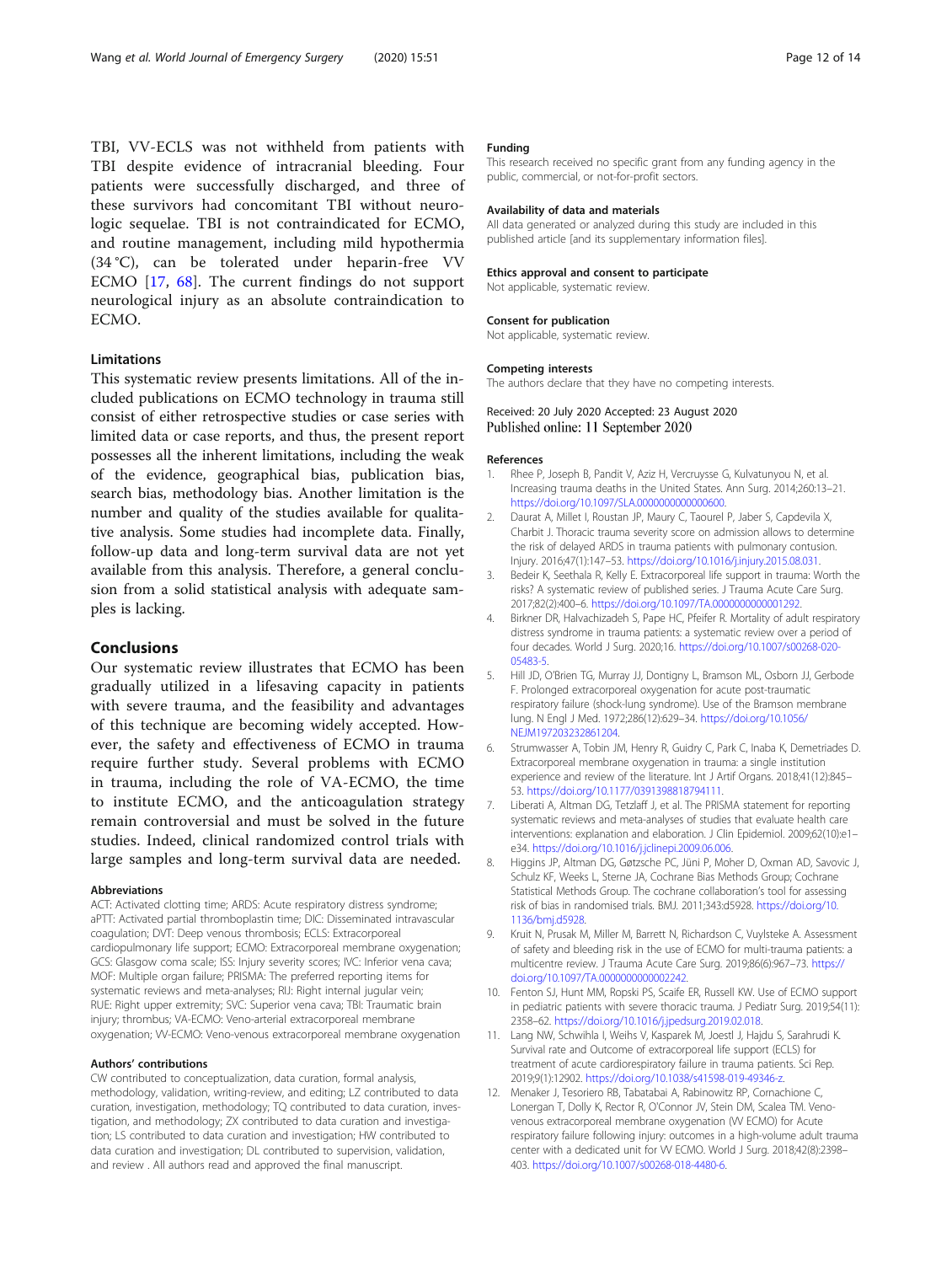<span id="page-11-0"></span>TBI, VV-ECLS was not withheld from patients with TBI despite evidence of intracranial bleeding. Four patients were successfully discharged, and three of these survivors had concomitant TBI without neurologic sequelae. TBI is not contraindicated for ECMO, and routine management, including mild hypothermia (34 °C), can be tolerated under heparin-free VV ECMO [[17,](#page-12-0) [68\]](#page-13-0). The current findings do not support neurological injury as an absolute contraindication to ECMO.

# Limitations

This systematic review presents limitations. All of the included publications on ECMO technology in trauma still consist of either retrospective studies or case series with limited data or case reports, and thus, the present report possesses all the inherent limitations, including the weak of the evidence, geographical bias, publication bias, search bias, methodology bias. Another limitation is the number and quality of the studies available for qualitative analysis. Some studies had incomplete data. Finally, follow-up data and long-term survival data are not yet available from this analysis. Therefore, a general conclusion from a solid statistical analysis with adequate samples is lacking.

### Conclusions

Our systematic review illustrates that ECMO has been gradually utilized in a lifesaving capacity in patients with severe trauma, and the feasibility and advantages of this technique are becoming widely accepted. However, the safety and effectiveness of ECMO in trauma require further study. Several problems with ECMO in trauma, including the role of VA-ECMO, the time to institute ECMO, and the anticoagulation strategy remain controversial and must be solved in the future studies. Indeed, clinical randomized control trials with large samples and long-term survival data are needed.

#### Abbreviations

ACT: Activated clotting time; ARDS: Acute respiratory distress syndrome; aPTT: Activated partial thromboplastin time; DIC: Disseminated intravascular coagulation; DVT: Deep venous thrombosis; ECLS: Extracorporeal cardiopulmonary life support; ECMO: Extracorporeal membrane oxygenation; GCS: Glasgow coma scale; ISS: Injury severity scores; IVC: Inferior vena cava; MOF: Multiple organ failure; PRISMA: The preferred reporting items for systematic reviews and meta-analyses; RIJ: Right internal jugular vein; RUE: Right upper extremity; SVC: Superior vena cava; TBI: Traumatic brain injury; thrombus; VA-ECMO: Veno-arterial extracorporeal membrane oxygenation; VV-ECMO: Veno-venous extracorporeal membrane oxygenation

#### Authors' contributions

CW contributed to conceptualization, data curation, formal analysis, methodology, validation, writing-review, and editing; LZ contributed to data curation, investigation, methodology; TQ contributed to data curation, investigation, and methodology; ZX contributed to data curation and investigation; LS contributed to data curation and investigation; HW contributed to data curation and investigation; DL contributed to supervision, validation, and review . All authors read and approved the final manuscript.

#### Funding

This research received no specific grant from any funding agency in the public, commercial, or not-for-profit sectors.

#### Availability of data and materials

All data generated or analyzed during this study are included in this published article [and its supplementary information files].

#### Ethics approval and consent to participate

Not applicable, systematic review.

#### Consent for publication

Not applicable, systematic review.

#### Competing interests

The authors declare that they have no competing interests.

#### Received: 20 July 2020 Accepted: 23 August 2020 Published online: 11 September 2020

#### References

- 1. Rhee P, Joseph B, Pandit V, Aziz H, Vercruysse G, Kulvatunyou N, et al. Increasing trauma deaths in the United States. Ann Surg. 2014;260:13–21. <https://doi.org/10.1097/SLA.0000000000000600>.
- 2. Daurat A, Millet I, Roustan JP, Maury C, Taourel P, Jaber S, Capdevila X, Charbit J. Thoracic trauma severity score on admission allows to determine the risk of delayed ARDS in trauma patients with pulmonary contusion. Injury. 2016;47(1):147–53. <https://doi.org/10.1016/j.injury.2015.08.031>.
- 3. Bedeir K, Seethala R, Kelly E. Extracorporeal life support in trauma: Worth the risks? A systematic review of published series. J Trauma Acute Care Surg. 2017;82(2):400–6. [https://doi.org/10.1097/TA.0000000000001292.](https://doi.org/10.1097/TA.0000000000001292)
- 4. Birkner DR, Halvachizadeh S, Pape HC, Pfeifer R. Mortality of adult respiratory distress syndrome in trauma patients: a systematic review over a period of four decades. World J Surg. 2020;16. [https://doi.org/10.1007/s00268-020-](https://doi.org/10.1007/s00268-020-05483-5) [05483-5](https://doi.org/10.1007/s00268-020-05483-5).
- 5. Hill JD, O'Brien TG, Murray JJ, Dontigny L, Bramson ML, Osborn JJ, Gerbode F. Prolonged extracorporeal oxygenation for acute post-traumatic respiratory failure (shock-lung syndrome). Use of the Bramson membrane lung. N Engl J Med. 1972;286(12):629–34. [https://doi.org/10.1056/](https://doi.org/10.1056/NEJM197203232861204) [NEJM197203232861204.](https://doi.org/10.1056/NEJM197203232861204)
- 6. Strumwasser A, Tobin JM, Henry R, Guidry C, Park C, Inaba K, Demetriades D. Extracorporeal membrane oxygenation in trauma: a single institution experience and review of the literature. Int J Artif Organs. 2018;41(12):845– 53. [https://doi.org/10.1177/0391398818794111.](https://doi.org/10.1177/0391398818794111)
- 7. Liberati A, Altman DG, Tetzlaff J, et al. The PRISMA statement for reporting systematic reviews and meta-analyses of studies that evaluate health care interventions: explanation and elaboration. J Clin Epidemiol. 2009;62(10):e1– e34. [https://doi.org/10.1016/j.jclinepi.2009.06.006.](https://doi.org/10.1016/j.jclinepi.2009.06.006)
- 8. Higgins JP, Altman DG, Gøtzsche PC, Jüni P, Moher D, Oxman AD, Savovic J, Schulz KF, Weeks L, Sterne JA, Cochrane Bias Methods Group; Cochrane Statistical Methods Group. The cochrane collaboration's tool for assessing risk of bias in randomised trials. BMJ. 2011;343:d5928. [https://doi.org/10.](https://doi.org/10.1136/bmj.d5928) [1136/bmj.d5928.](https://doi.org/10.1136/bmj.d5928)
- Kruit N, Prusak M, Miller M, Barrett N, Richardson C, Vuylsteke A. Assessment of safety and bleeding risk in the use of ECMO for multi-trauma patients: a multicentre review. J Trauma Acute Care Surg. 2019;86(6):967–73. [https://](https://doi.org/10.1097/TA.0000000000002242) [doi.org/10.1097/TA.0000000000002242.](https://doi.org/10.1097/TA.0000000000002242)
- 10. Fenton SJ, Hunt MM, Ropski PS, Scaife ER, Russell KW. Use of ECMO support in pediatric patients with severe thoracic trauma. J Pediatr Surg. 2019;54(11): 2358–62. <https://doi.org/10.1016/j.jpedsurg.2019.02.018>.
- 11. Lang NW, Schwihla I, Weihs V, Kasparek M, Joestl J, Hajdu S, Sarahrudi K. Survival rate and Outcome of extracorporeal life support (ECLS) for treatment of acute cardiorespiratory failure in trauma patients. Sci Rep. 2019;9(1):12902. [https://doi.org/10.1038/s41598-019-49346-z.](https://doi.org/10.1038/s41598-019-49346-z)
- 12. Menaker J, Tesoriero RB, Tabatabai A, Rabinowitz RP, Cornachione C, Lonergan T, Dolly K, Rector R, O'Connor JV, Stein DM, Scalea TM. Venovenous extracorporeal membrane oxygenation (W ECMO) for Acute respiratory failure following injury: outcomes in a high-volume adult trauma center with a dedicated unit for VV ECMO. World J Surg. 2018;42(8):2398– 403. [https://doi.org/10.1007/s00268-018-4480-6.](https://doi.org/10.1007/s00268-018-4480-6)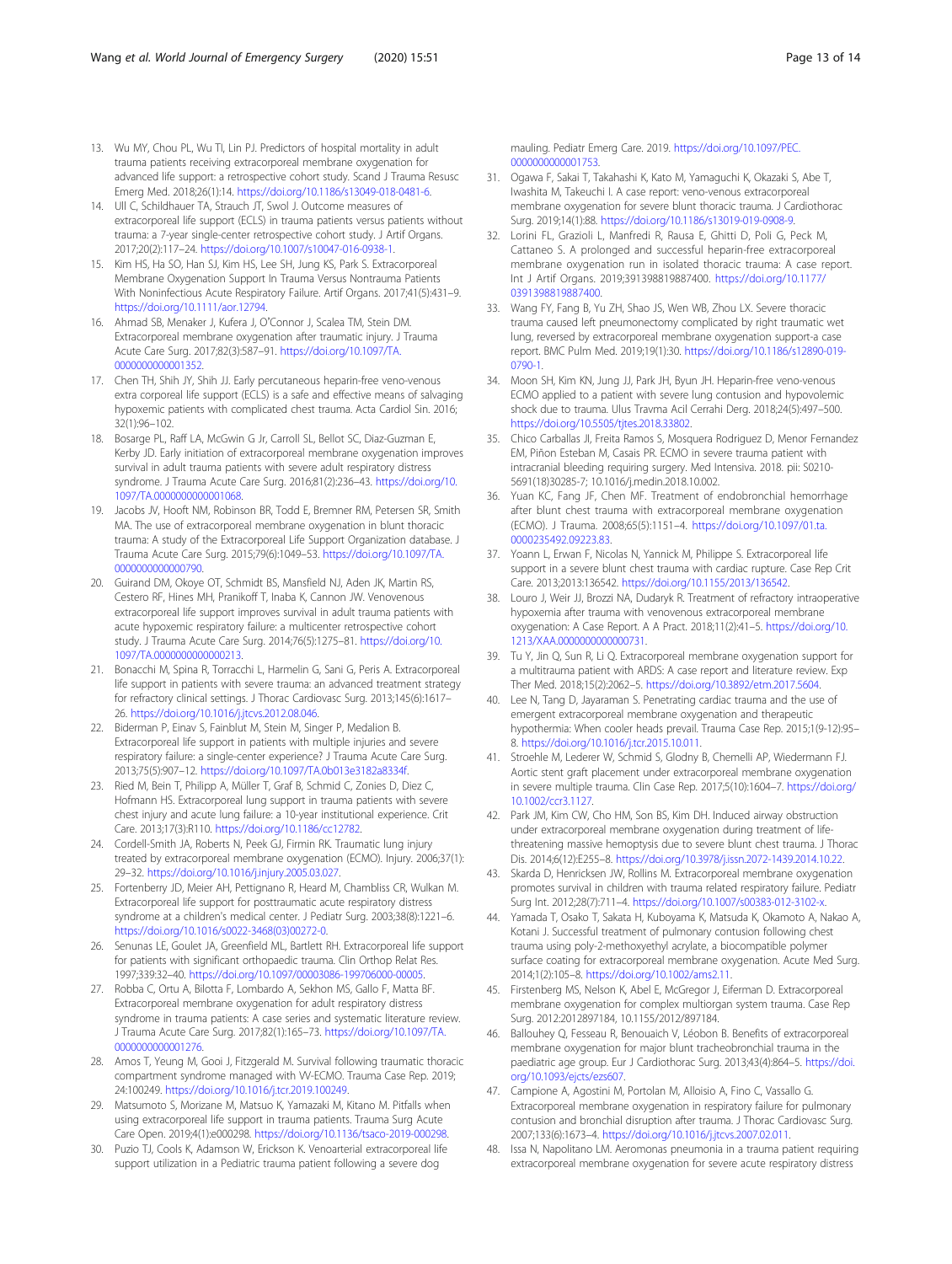- <span id="page-12-0"></span>13. Wu MY, Chou PL, Wu TI, Lin PJ. Predictors of hospital mortality in adult trauma patients receiving extracorporeal membrane oxygenation for advanced life support: a retrospective cohort study. Scand J Trauma Resusc Emerg Med. 2018;26(1):14. [https://doi.org/10.1186/s13049-018-0481-6.](https://doi.org/10.1186/s13049-018-0481-6)
- 14. Ull C, Schildhauer TA, Strauch JT, Swol J. Outcome measures of extracorporeal life support (ECLS) in trauma patients versus patients without trauma: a 7-year single-center retrospective cohort study. J Artif Organs. 2017;20(2):117–24. <https://doi.org/10.1007/s10047-016-0938-1>.
- 15. Kim HS, Ha SO, Han SJ, Kim HS, Lee SH, Jung KS, Park S. Extracorporeal Membrane Oxygenation Support In Trauma Versus Nontrauma Patients With Noninfectious Acute Respiratory Failure. Artif Organs. 2017;41(5):431–9. <https://doi.org/10.1111/aor.12794>.
- 16. Ahmad SB, Menaker J, Kufera J, O'Connor J, Scalea TM, Stein DM. Extracorporeal membrane oxygenation after traumatic injury. J Trauma Acute Care Surg. 2017;82(3):587–91. [https://doi.org/10.1097/TA.](https://doi.org/10.1097/TA.0000000000001352) [0000000000001352](https://doi.org/10.1097/TA.0000000000001352).
- 17. Chen TH, Shih JY, Shih JJ. Early percutaneous heparin-free veno-venous extra corporeal life support (ECLS) is a safe and effective means of salvaging hypoxemic patients with complicated chest trauma. Acta Cardiol Sin. 2016; 32(1):96–102.
- 18. Bosarge PL, Raff LA, McGwin G Jr, Carroll SL, Bellot SC, Diaz-Guzman E, Kerby JD. Early initiation of extracorporeal membrane oxygenation improves survival in adult trauma patients with severe adult respiratory distress syndrome. J Trauma Acute Care Surg. 2016;81(2):236–43. [https://doi.org/10.](https://doi.org/10.1097/TA.0000000000001068) [1097/TA.0000000000001068.](https://doi.org/10.1097/TA.0000000000001068)
- 19. Jacobs JV, Hooft NM, Robinson BR, Todd E, Bremner RM, Petersen SR, Smith MA. The use of extracorporeal membrane oxygenation in blunt thoracic trauma: A study of the Extracorporeal Life Support Organization database. J Trauma Acute Care Surg. 2015;79(6):1049–53. [https://doi.org/10.1097/TA.](https://doi.org/10.1097/TA.0000000000000790) [0000000000000790](https://doi.org/10.1097/TA.0000000000000790).
- 20. Guirand DM, Okoye OT, Schmidt BS, Mansfield NJ, Aden JK, Martin RS, Cestero RF, Hines MH, Pranikoff T, Inaba K, Cannon JW. Venovenous extracorporeal life support improves survival in adult trauma patients with acute hypoxemic respiratory failure: a multicenter retrospective cohort study. J Trauma Acute Care Surg. 2014;76(5):1275–81. [https://doi.org/10.](https://doi.org/10.1097/TA.0000000000000213) [1097/TA.0000000000000213.](https://doi.org/10.1097/TA.0000000000000213)
- 21. Bonacchi M, Spina R, Torracchi L, Harmelin G, Sani G, Peris A. Extracorporeal life support in patients with severe trauma: an advanced treatment strategy for refractory clinical settings. J Thorac Cardiovasc Surg. 2013;145(6):1617– 26. [https://doi.org/10.1016/j.jtcvs.2012.08.046.](https://doi.org/10.1016/j.jtcvs.2012.08.046)
- 22. Biderman P, Einav S, Fainblut M, Stein M, Singer P, Medalion B. Extracorporeal life support in patients with multiple injuries and severe respiratory failure: a single-center experience? J Trauma Acute Care Surg. 2013;75(5):907–12. [https://doi.org/10.1097/TA.0b013e3182a8334f.](https://doi.org/10.1097/TA.0b013e3182a8334f)
- 23. Ried M, Bein T, Philipp A, Müller T, Graf B, Schmid C, Zonies D, Diez C, Hofmann HS. Extracorporeal lung support in trauma patients with severe chest injury and acute lung failure: a 10-year institutional experience. Crit Care. 2013;17(3):R110. <https://doi.org/10.1186/cc12782>.
- 24. Cordell-Smith JA, Roberts N, Peek GJ, Firmin RK. Traumatic lung injury treated by extracorporeal membrane oxygenation (ECMO). Injury. 2006;37(1): 29–32. <https://doi.org/10.1016/j.injury.2005.03.027>.
- 25. Fortenberry JD, Meier AH, Pettignano R, Heard M, Chambliss CR, Wulkan M. Extracorporeal life support for posttraumatic acute respiratory distress syndrome at a children's medical center. J Pediatr Surg. 2003;38(8):1221–6. [https://doi.org/10.1016/s0022-3468\(03\)00272-0.](https://doi.org/10.1016/s0022-3468(03)00272-0)
- 26. Senunas LE, Goulet JA, Greenfield ML, Bartlett RH. Extracorporeal life support for patients with significant orthopaedic trauma. Clin Orthop Relat Res. 1997;339:32–40. [https://doi.org/10.1097/00003086-199706000-00005.](https://doi.org/10.1097/00003086-199706000-00005)
- 27. Robba C, Ortu A, Bilotta F, Lombardo A, Sekhon MS, Gallo F, Matta BF. Extracorporeal membrane oxygenation for adult respiratory distress syndrome in trauma patients: A case series and systematic literature review. J Trauma Acute Care Surg. 2017;82(1):165–73. [https://doi.org/10.1097/TA.](https://doi.org/10.1097/TA.0000000000001276) [0000000000001276](https://doi.org/10.1097/TA.0000000000001276).
- 28. Amos T, Yeung M, Gooi J, Fitzgerald M. Survival following traumatic thoracic compartment syndrome managed with VV-ECMO. Trauma Case Rep. 2019; 24:100249. <https://doi.org/10.1016/j.tcr.2019.100249>.
- 29. Matsumoto S, Morizane M, Matsuo K, Yamazaki M, Kitano M. Pitfalls when using extracorporeal life support in trauma patients. Trauma Surg Acute Care Open. 2019;4(1):e000298. [https://doi.org/10.1136/tsaco-2019-000298.](https://doi.org/10.1136/tsaco-2019-000298)
- 30. Puzio TJ, Cools K, Adamson W, Erickson K. Venoarterial extracorporeal life support utilization in a Pediatric trauma patient following a severe dog

mauling. Pediatr Emerg Care. 2019. [https://doi.org/10.1097/PEC.](https://doi.org/10.1097/PEC.0000000000001753) [0000000000001753](https://doi.org/10.1097/PEC.0000000000001753).

- 31. Ogawa F, Sakai T, Takahashi K, Kato M, Yamaguchi K, Okazaki S, Abe T, Iwashita M, Takeuchi I. A case report: veno-venous extracorporeal membrane oxygenation for severe blunt thoracic trauma. J Cardiothorac Surg. 2019;14(1):88. <https://doi.org/10.1186/s13019-019-0908-9>.
- 32. Lorini FL, Grazioli L, Manfredi R, Rausa E, Ghitti D, Poli G, Peck M, Cattaneo S. A prolonged and successful heparin-free extracorporeal membrane oxygenation run in isolated thoracic trauma: A case report. Int J Artif Organs. 2019;391398819887400. [https://doi.org/10.1177/](https://doi.org/10.1177/0391398819887400) [0391398819887400.](https://doi.org/10.1177/0391398819887400)
- 33. Wang FY, Fang B, Yu ZH, Shao JS, Wen WB, Zhou LX. Severe thoracic trauma caused left pneumonectomy complicated by right traumatic wet lung, reversed by extracorporeal membrane oxygenation support-a case report. BMC Pulm Med. 2019;19(1):30. [https://doi.org/10.1186/s12890-019-](https://doi.org/10.1186/s12890-019-0790-1) [0790-1.](https://doi.org/10.1186/s12890-019-0790-1)
- 34. Moon SH, Kim KN, Jung JJ, Park JH, Byun JH. Heparin-free veno-venous ECMO applied to a patient with severe lung contusion and hypovolemic shock due to trauma. Ulus Travma Acil Cerrahi Derg. 2018;24(5):497–500. [https://doi.org/10.5505/tjtes.2018.33802.](https://doi.org/10.5505/tjtes.2018.33802)
- 35. Chico Carballas JI, Freita Ramos S, Mosquera Rodriguez D, Menor Fernandez EM, Piñon Esteban M, Casais PR. ECMO in severe trauma patient with intracranial bleeding requiring surgery. Med Intensiva. 2018. pii: S0210- 5691(18)30285-7; 10.1016/j.medin.2018.10.002.
- Yuan KC, Fang JF, Chen MF. Treatment of endobronchial hemorrhage after blunt chest trauma with extracorporeal membrane oxygenation (ECMO). J Trauma. 2008;65(5):1151–4. [https://doi.org/10.1097/01.ta.](https://doi.org/10.1097/01.ta.0000235492.09223.83) [0000235492.09223.83.](https://doi.org/10.1097/01.ta.0000235492.09223.83)
- 37. Yoann L, Erwan F, Nicolas N, Yannick M, Philippe S. Extracorporeal life support in a severe blunt chest trauma with cardiac rupture. Case Rep Crit Care. 2013;2013:136542. [https://doi.org/10.1155/2013/136542.](https://doi.org/10.1155/2013/136542)
- 38. Louro J, Weir JJ, Brozzi NA, Dudaryk R. Treatment of refractory intraoperative hypoxemia after trauma with venovenous extracorporeal membrane oxygenation: A Case Report. A A Pract. 2018;11(2):41–5. [https://doi.org/10.](https://doi.org/10.1213/XAA.0000000000000731) [1213/XAA.0000000000000731.](https://doi.org/10.1213/XAA.0000000000000731)
- 39. Tu Y, Jin Q, Sun R, Li Q. Extracorporeal membrane oxygenation support for a multitrauma patient with ARDS: A case report and literature review. Exp Ther Med. 2018;15(2):2062–5. [https://doi.org/10.3892/etm.2017.5604.](https://doi.org/10.3892/etm.2017.5604)
- 40. Lee N, Tang D, Jayaraman S. Penetrating cardiac trauma and the use of emergent extracorporeal membrane oxygenation and therapeutic hypothermia: When cooler heads prevail. Trauma Case Rep. 2015;1(9-12):95– 8. [https://doi.org/10.1016/j.tcr.2015.10.011.](https://doi.org/10.1016/j.tcr.2015.10.011)
- 41. Stroehle M, Lederer W, Schmid S, Glodny B, Chemelli AP, Wiedermann FJ. Aortic stent graft placement under extracorporeal membrane oxygenation in severe multiple trauma. Clin Case Rep. 2017;5(10):1604–7. [https://doi.org/](https://doi.org/10.1002/ccr3.1127) [10.1002/ccr3.1127](https://doi.org/10.1002/ccr3.1127).
- 42. Park JM, Kim CW, Cho HM, Son BS, Kim DH. Induced airway obstruction under extracorporeal membrane oxygenation during treatment of lifethreatening massive hemoptysis due to severe blunt chest trauma. J Thorac Dis. 2014;6(12):E255–8. <https://doi.org/10.3978/j.issn.2072-1439.2014.10.22>.
- 43. Skarda D, Henricksen JW, Rollins M. Extracorporeal membrane oxygenation promotes survival in children with trauma related respiratory failure. Pediatr Surg Int. 2012;28(7):711–4. <https://doi.org/10.1007/s00383-012-3102-x>.
- 44. Yamada T, Osako T, Sakata H, Kuboyama K, Matsuda K, Okamoto A, Nakao A, Kotani J. Successful treatment of pulmonary contusion following chest trauma using poly-2-methoxyethyl acrylate, a biocompatible polymer surface coating for extracorporeal membrane oxygenation. Acute Med Surg. 2014;1(2):105–8. <https://doi.org/10.1002/ams2.11>.
- 45. Firstenberg MS, Nelson K, Abel E, McGregor J, Eiferman D. Extracorporeal membrane oxygenation for complex multiorgan system trauma. Case Rep Surg. 2012:2012897184, 10.1155/2012/897184.
- 46. Ballouhey Q, Fesseau R, Benouaich V, Léobon B. Benefits of extracorporeal membrane oxygenation for major blunt tracheobronchial trauma in the paediatric age group. Eur J Cardiothorac Surg. 2013;43(4):864–5. [https://doi.](https://doi.org/10.1093/ejcts/ezs607) [org/10.1093/ejcts/ezs607](https://doi.org/10.1093/ejcts/ezs607).
- 47. Campione A, Agostini M, Portolan M, Alloisio A, Fino C, Vassallo G. Extracorporeal membrane oxygenation in respiratory failure for pulmonary contusion and bronchial disruption after trauma. J Thorac Cardiovasc Surg. 2007;133(6):1673–4. [https://doi.org/10.1016/j.jtcvs.2007.02.011.](https://doi.org/10.1016/j.jtcvs.2007.02.011)
- 48. Issa N, Napolitano LM. Aeromonas pneumonia in a trauma patient requiring extracorporeal membrane oxygenation for severe acute respiratory distress